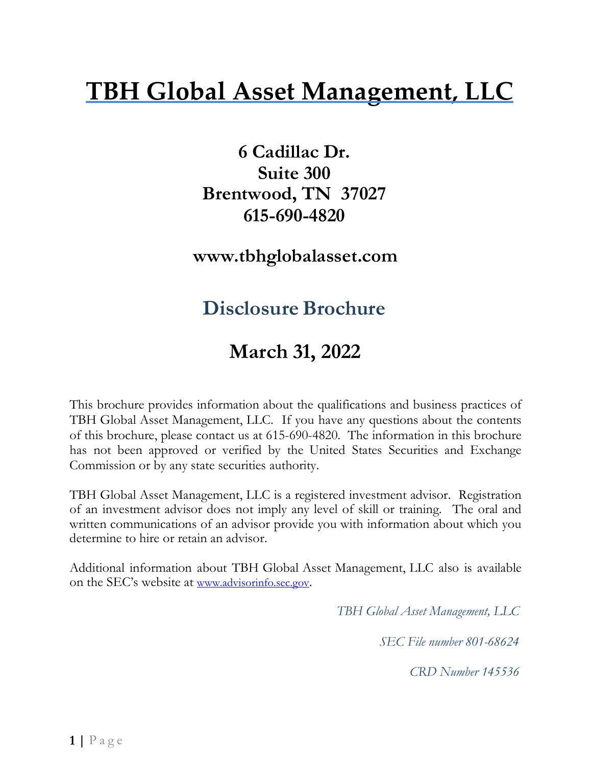# **TBH Global Asset Management, LLC**

**6 Cadillac Dr. Suite 300 Brentwood, TN 37027 615-690-482[0](http://www.tbhglobalasset.com/)**

**[www.tbhglobalasset.com](http://www.tbhglobalasset.com/)**

## **Disclosure Brochure**

## **March 31, 2022**

This brochure provides information about the qualifications and business practices of TBH Global Asset Management, LLC. If you have any questions about the contents of this brochure, please contact us at 615-690-4820. The information in this brochure has not been approved or verified by the United States Securities and Exchange Commission or by any state securities authority.

TBH Global Asset Management, LLC is a registered investment advisor. Registration of an investment advisor does not imply any level of skill or training. The oral and written communications of an advisor provide you with information about which you determine to hire or retain an advisor.

Additional information about TBH Global Asset Management, LLC also is available on the SEC's website at [www.advisorinfo.sec.gov.](http://www.adviserinfo.sec.gov/)

*TBH Global Asset Management, LLC*

*SEC File number 801-68624*

*CRD Number 145536*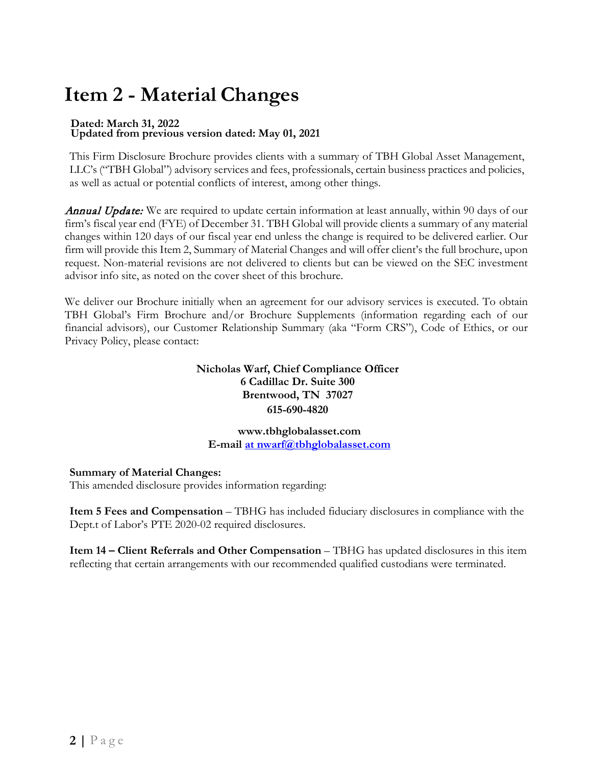# <span id="page-1-0"></span>**Item 2 - Material Changes**

# **Dated: March 31, 2022 Updated from previous version dated: May 01, 2021**

This Firm Disclosure Brochure provides clients with a summary of TBH Global Asset Management, LLC's ("TBH Global") advisory services and fees, professionals, certain business practices and policies, as well as actual or potential conflicts of interest, among other things.

**Annual Update:** We are required to update certain information at least annually, within 90 days of our firm's fiscal year end (FYE) of December 31. TBH Global will provide clients a summary of any material changes within 120 days of our fiscal year end unless the change is required to be delivered earlier. Our firm will provide this Item 2, Summary of Material Changes and will offer client's the full brochure, upon request. Non-material revisions are not delivered to clients but can be viewed on the SEC investment advisor info site, as noted on the cover sheet of this brochure.

We deliver our Brochure initially when an agreement for our advisory services is executed. To obtain TBH Global's Firm Brochure and/or Brochure Supplements (information regarding each of our financial advisors), our Customer Relationship Summary (aka "Form CRS"), Code of Ethics, or our Privacy Policy, please contact:

#### **Nicholas Warf, Chief Compliance Officer 6 Cadillac Dr. Suite 300 Brentwood, TN 37027 615-690-4820**

**[www.tbhglobalasset.com](http://www.tbhglobalasset.com/) E-mail [at nwarf@tbhglobalasset.com](mailto:at%20nwarf@tbhglobalasset.com)**

#### **Summary of Material Changes:**

This amended disclosure provides information regarding:

**Item 5 Fees and Compensation** – TBHG has included fiduciary disclosures in compliance with the Dept.t of Labor's PTE 2020-02 required disclosures.

**Item 14 – Client Referrals and Other Compensation** – TBHG has updated disclosures in this item reflecting that certain arrangements with our recommended qualified custodians were terminated.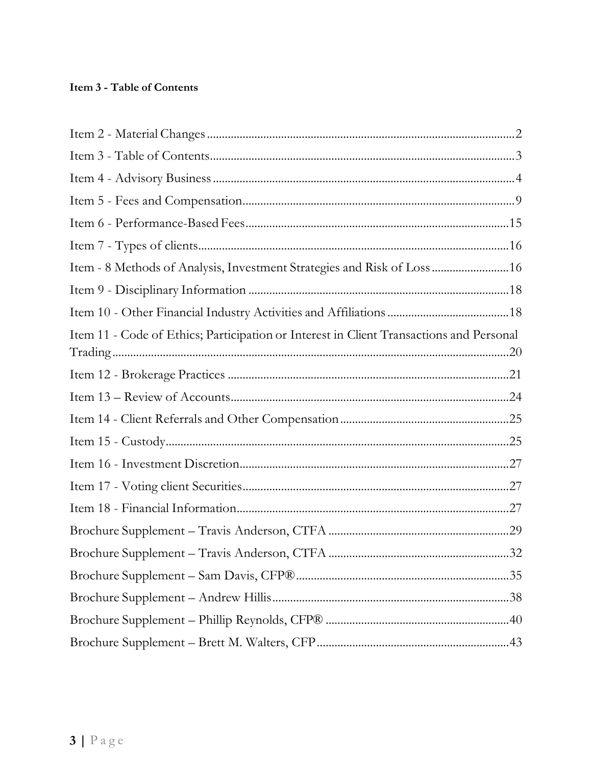#### <span id="page-2-0"></span>Item 3 - Table of Contents

| Item - 8 Methods of Analysis, Investment Strategies and Risk of Loss  16                |  |
|-----------------------------------------------------------------------------------------|--|
|                                                                                         |  |
|                                                                                         |  |
| Item 11 - Code of Ethics; Participation or Interest in Client Transactions and Personal |  |
|                                                                                         |  |
|                                                                                         |  |
|                                                                                         |  |
|                                                                                         |  |
|                                                                                         |  |
|                                                                                         |  |
|                                                                                         |  |
|                                                                                         |  |
|                                                                                         |  |
|                                                                                         |  |
|                                                                                         |  |
|                                                                                         |  |
|                                                                                         |  |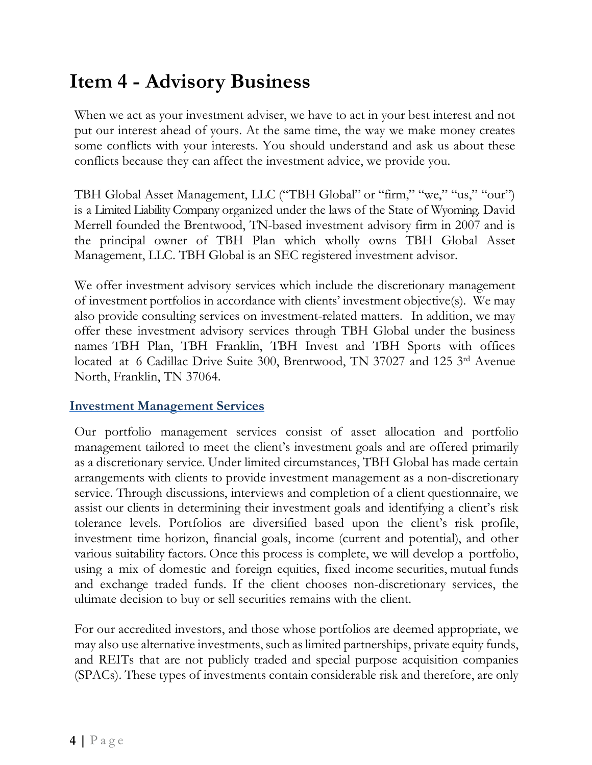## <span id="page-3-0"></span>**Item 4 - Advisory Business**

When we act as your investment adviser, we have to act in your best interest and not put our interest ahead of yours. At the same time, the way we make money creates some conflicts with your interests. You should understand and ask us about these conflicts because they can affect the investment advice, we provide you.

TBH Global Asset Management, LLC ("TBH Global" or "firm," "we," "us," "our") is a Limited Liability Company organized under the laws of the State of Wyoming. David Merrell founded the Brentwood, TN-based investment advisory firm in 2007 and is the principal owner of TBH Plan which wholly owns TBH Global Asset Management, LLC. TBH Global is an SEC registered investment advisor.

We offer investment advisory services which include the discretionary management of investment portfolios in accordance with clients' investment objective(s). We may also provide consulting services on investment-related matters. In addition, we may offer these investment advisory services through TBH Global under the business names TBH Plan, TBH Franklin, TBH Invest and TBH Sports with offices located at 6 Cadillac Drive Suite 300, Brentwood, TN 37027 and 125 3rd Avenue North, Franklin, TN 37064.

#### **Investment Management Services**

Our portfolio management services consist of asset allocation and portfolio management tailored to meet the client's investment goals and are offered primarily as a discretionary service. Under limited circumstances, TBH Global has made certain arrangements with clients to provide investment management as a non-discretionary service. Through discussions, interviews and completion of a client questionnaire, we assist our clients in determining their investment goals and identifying a client's risk tolerance levels. Portfolios are diversified based upon the client's risk profile, investment time horizon, financial goals, income (current and potential), and other various suitability factors. Once this process is complete, we will develop a portfolio, using a mix of domestic and foreign equities, fixed income securities, mutual funds and exchange traded funds. If the client chooses non-discretionary services, the ultimate decision to buy or sell securities remains with the client.

For our accredited investors, and those whose portfolios are deemed appropriate, we may also use alternative investments, such as limited partnerships, private equity funds, and REITs that are not publicly traded and special purpose acquisition companies (SPACs). These types of investments contain considerable risk and therefore, are only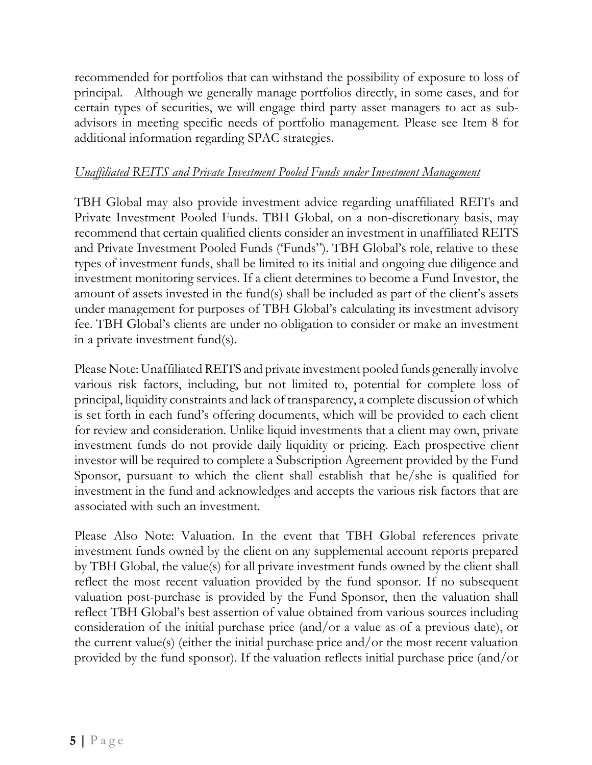recommended for portfolios that can withstand the possibility of exposure to loss of principal. Although we generally manage portfolios directly, in some cases, and for certain types of securities, we will engage third party asset managers to act as subadvisors in meeting specific needs of portfolio management. Please see Item 8 for additional information regarding SPAC strategies.

#### *Unaffiliated REITS and Private Investment Pooled Funds under Investment Management*

TBH Global may also provide investment advice regarding unaffiliated REITs and Private Investment Pooled Funds. TBH Global, on a non-discretionary basis, may recommend that certain qualified clients consider an investment in unaffiliated REITS and Private Investment Pooled Funds ('Funds"). TBH Global's role, relative to these types of investment funds, shall be limited to its initial and ongoing due diligence and investment monitoring services. If a client determines to become a Fund Investor, the amount of assets invested in the fund(s) shall be included as part of the client's assets under management for purposes of TBH Global's calculating its investment advisory fee. TBH Global's clients are under no obligation to consider or make an investment in a private investment fund(s).

Please Note: Unaffiliated REITS and private investment pooled funds generally involve various risk factors, including, but not limited to, potential for complete loss of principal, liquidity constraints and lack of transparency, a complete discussion of which is set forth in each fund's offering documents, which will be provided to each client for review and consideration. Unlike liquid investments that a client may own, private investment funds do not provide daily liquidity or pricing. Each prospective client investor will be required to complete a Subscription Agreement provided by the Fund Sponsor, pursuant to which the client shall establish that he/she is qualified for investment in the fund and acknowledges and accepts the various risk factors that are associated with such an investment.

Please Also Note: Valuation. In the event that TBH Global references private investment funds owned by the client on any supplemental account reports prepared by TBH Global, the value(s) for all private investment funds owned by the client shall reflect the most recent valuation provided by the fund sponsor. If no subsequent valuation post-purchase is provided by the Fund Sponsor, then the valuation shall reflect TBH Global's best assertion of value obtained from various sources including consideration of the initial purchase price (and/or a value as of a previous date), or the current value(s) (either the initial purchase price and/or the most recent valuation provided by the fund sponsor). If the valuation reflects initial purchase price (and/or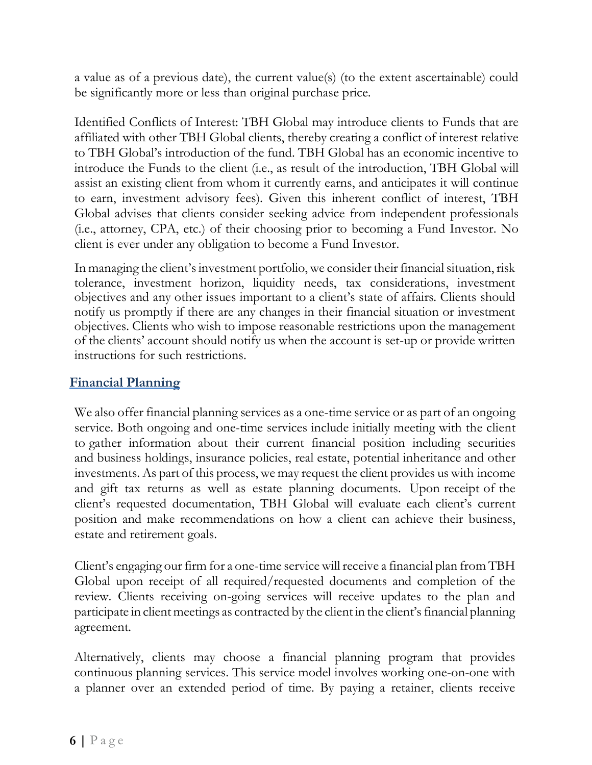a value as of a previous date), the current value(s) (to the extent ascertainable) could be significantly more or less than original purchase price.

Identified Conflicts of Interest: TBH Global may introduce clients to Funds that are affiliated with other TBH Global clients, thereby creating a conflict of interest relative to TBH Global's introduction of the fund. TBH Global has an economic incentive to introduce the Funds to the client (i.e., as result of the introduction, TBH Global will assist an existing client from whom it currently earns, and anticipates it will continue to earn, investment advisory fees). Given this inherent conflict of interest, TBH Global advises that clients consider seeking advice from independent professionals (i.e., attorney, CPA, etc.) of their choosing prior to becoming a Fund Investor. No client is ever under any obligation to become a Fund Investor.

In managing the client's investment portfolio, we consider their financial situation, risk tolerance, investment horizon, liquidity needs, tax considerations, investment objectives and any other issues important to a client's state of affairs. Clients should notify us promptly if there are any changes in their financial situation or investment objectives. Clients who wish to impose reasonable restrictions upon the management of the clients' account should notify us when the account is set-up or provide written instructions for such restrictions.

#### **Financial Planning**

We also offer financial planning services as a one-time service or as part of an ongoing service. Both ongoing and one-time services include initially meeting with the client to gather information about their current financial position including securities and business holdings, insurance policies, real estate, potential inheritance and other investments. As part of this process, we may request the client provides us with income and gift tax returns as well as estate planning documents. Upon receipt of the client's requested documentation, TBH Global will evaluate each client's current position and make recommendations on how a client can achieve their business, estate and retirement goals.

Client's engaging our firm for a one-time service will receive a financial plan from TBH Global upon receipt of all required/requested documents and completion of the review. Clients receiving on-going services will receive updates to the plan and participate in client meetings as contracted by the client in the client's financial planning agreement.

Alternatively, clients may choose a financial planning program that provides continuous planning services. This service model involves working one-on-one with a planner over an extended period of time. By paying a retainer, clients receive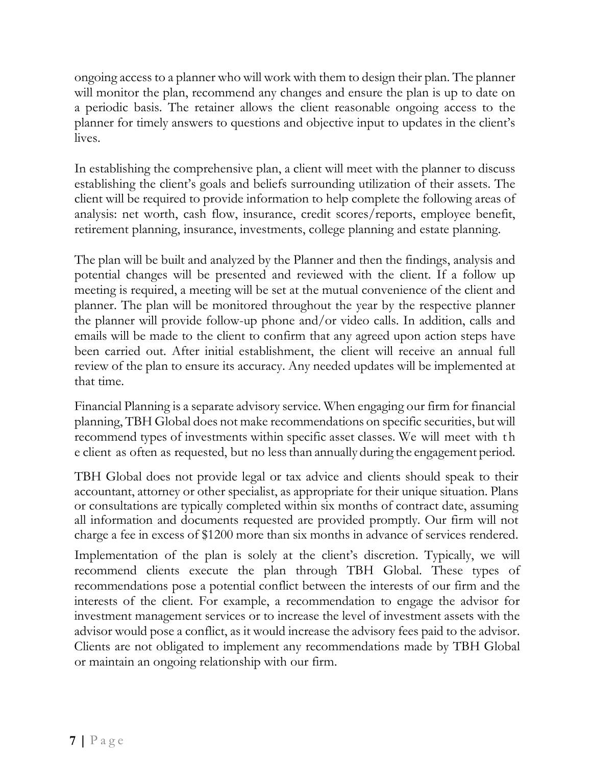ongoing access to a planner who will work with them to design their plan. The planner will monitor the plan, recommend any changes and ensure the plan is up to date on a periodic basis. The retainer allows the client reasonable ongoing access to the planner for timely answers to questions and objective input to updates in the client's lives.

In establishing the comprehensive plan, a client will meet with the planner to discuss establishing the client's goals and beliefs surrounding utilization of their assets. The client will be required to provide information to help complete the following areas of analysis: net worth, cash flow, insurance, credit scores/reports, employee benefit, retirement planning, insurance, investments, college planning and estate planning.

The plan will be built and analyzed by the Planner and then the findings, analysis and potential changes will be presented and reviewed with the client. If a follow up meeting is required, a meeting will be set at the mutual convenience of the client and planner. The plan will be monitored throughout the year by the respective planner the planner will provide follow-up phone and/or video calls. In addition, calls and emails will be made to the client to confirm that any agreed upon action steps have been carried out. After initial establishment, the client will receive an annual full review of the plan to ensure its accuracy. Any needed updates will be implemented at that time.

Financial Planning is a separate advisory service. When engaging our firm for financial planning, TBH Global does not make recommendations on specific securities, but will recommend types of investments within specific asset classes. We will meet with t h e client as often as requested, but no less than annually during the engagement period.

TBH Global does not provide legal or tax advice and clients should speak to their accountant, attorney or other specialist, as appropriate for their unique situation. Plans or consultations are typically completed within six months of contract date, assuming all information and documents requested are provided promptly. Our firm will not charge a fee in excess of \$1200 more than six months in advance of services rendered.

Implementation of the plan is solely at the client's discretion. Typically, we will recommend clients execute the plan through TBH Global. These types of recommendations pose a potential conflict between the interests of our firm and the interests of the client. For example, a recommendation to engage the advisor for investment management services or to increase the level of investment assets with the advisor would pose a conflict, as it would increase the advisory fees paid to the advisor. Clients are not obligated to implement any recommendations made by TBH Global or maintain an ongoing relationship with our firm.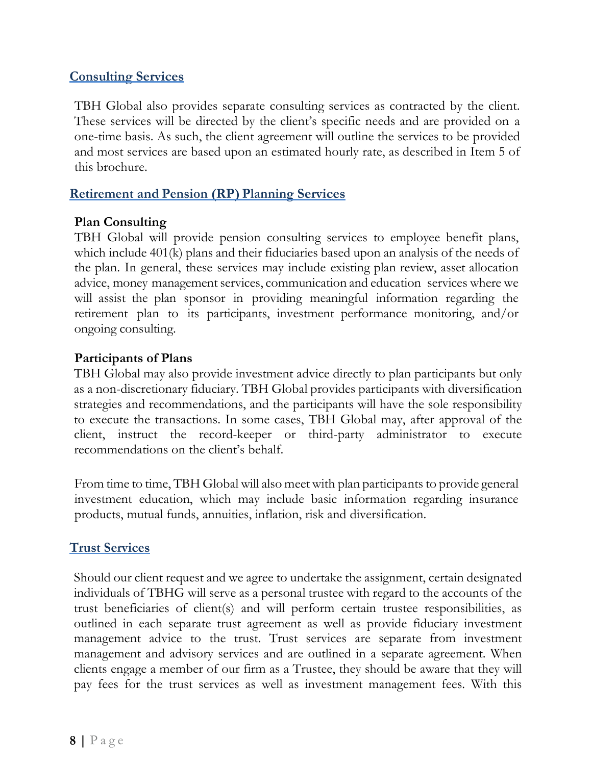### **Consulting Services**

TBH Global also provides separate consulting services as contracted by the client. These services will be directed by the client's specific needs and are provided on a one-time basis. As such, the client agreement will outline the services to be provided and most services are based upon an estimated hourly rate, as described in Item 5 of this brochure.

### **Retirement and Pension (RP) Planning Services**

### **Plan Consulting**

TBH Global will provide pension consulting services to employee benefit plans, which include 401(k) plans and their fiduciaries based upon an analysis of the needs of the plan. In general, these services may include existing plan review, asset allocation advice, money management services, communication and education services where we will assist the plan sponsor in providing meaningful information regarding the retirement plan to its participants, investment performance monitoring, and/or ongoing consulting.

#### **Participants of Plans**

TBH Global may also provide investment advice directly to plan participants but only as a non-discretionary fiduciary. TBH Global provides participants with diversification strategies and recommendations, and the participants will have the sole responsibility to execute the transactions. In some cases, TBH Global may, after approval of the client, instruct the record-keeper or third-party administrator to execute recommendations on the client's behalf.

From time to time, TBH Global will also meet with plan participants to provide general investment education, which may include basic information regarding insurance products, mutual funds, annuities, inflation, risk and diversification.

### **Trust Services**

Should our client request and we agree to undertake the assignment, certain designated individuals of TBHG will serve as a personal trustee with regard to the accounts of the trust beneficiaries of client(s) and will perform certain trustee responsibilities, as outlined in each separate trust agreement as well as provide fiduciary investment management advice to the trust. Trust services are separate from investment management and advisory services and are outlined in a separate agreement. When clients engage a member of our firm as a Trustee, they should be aware that they will pay fees for the trust services as well as investment management fees. With this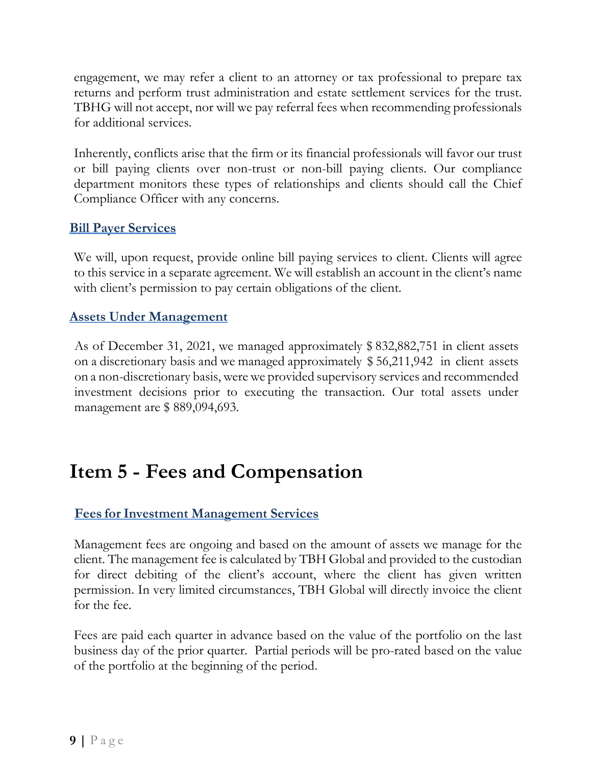engagement, we may refer a client to an attorney or tax professional to prepare tax returns and perform trust administration and estate settlement services for the trust. TBHG will not accept, nor will we pay referral fees when recommending professionals for additional services.

Inherently, conflicts arise that the firm or its financial professionals will favor our trust or bill paying clients over non-trust or non-bill paying clients. Our compliance department monitors these types of relationships and clients should call the Chief Compliance Officer with any concerns.

#### **Bill Payer Services**

We will, upon request, provide online bill paying services to client. Clients will agree to this service in a separate agreement. We will establish an account in the client's name with client's permission to pay certain obligations of the client.

#### **Assets Under Management**

As of December 31, 2021, we managed approximately \$ 832,882,751 in client assets on a discretionary basis and we managed approximately \$ 56,211,942 in client assets on a non-discretionary basis, were we provided supervisory services and recommended investment decisions prior to executing the transaction. Our total assets under management are \$889,094,693.

## <span id="page-8-0"></span>**Item 5 - Fees and Compensation**

### **Fees for Investment Management Services**

Management fees are ongoing and based on the amount of assets we manage for the client. The management fee is calculated by TBH Global and provided to the custodian for direct debiting of the client's account, where the client has given written permission. In very limited circumstances, TBH Global will directly invoice the client for the fee.

Fees are paid each quarter in advance based on the value of the portfolio on the last business day of the prior quarter. Partial periods will be pro-rated based on the value of the portfolio at the beginning of the period.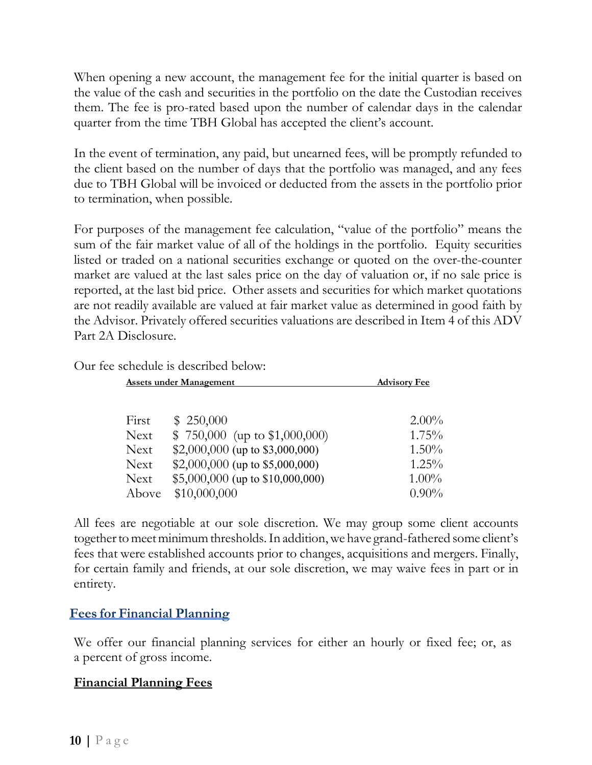When opening a new account, the management fee for the initial quarter is based on the value of the cash and securities in the portfolio on the date the Custodian receives them. The fee is pro-rated based upon the number of calendar days in the calendar quarter from the time TBH Global has accepted the client's account.

In the event of termination, any paid, but unearned fees, will be promptly refunded to the client based on the number of days that the portfolio was managed, and any fees due to TBH Global will be invoiced or deducted from the assets in the portfolio prior to termination, when possible.

For purposes of the management fee calculation, "value of the portfolio" means the sum of the fair market value of all of the holdings in the portfolio. Equity securities listed or traded on a national securities exchange or quoted on the over-the-counter market are valued at the last sales price on the day of valuation or, if no sale price is reported, at the last bid price. Other assets and securities for which market quotations are not readily available are valued at fair market value as determined in good faith by the Advisor. Privately offered securities valuations are described in Item 4 of this ADV Part 2A Disclosure.

Our fee schedule is described below:

| <b>Assets under Management</b> |                                  | <b>Advisory Fee</b> |  |
|--------------------------------|----------------------------------|---------------------|--|
|                                |                                  |                     |  |
| First                          | \$250,000                        | $2.00\%$            |  |
| <b>Next</b>                    | $$750,000$ (up to \$1,000,000)   | 1.75%               |  |
| <b>Next</b>                    | \$2,000,000 (up to \$3,000,000)  | $1.50\%$            |  |
| <b>Next</b>                    | \$2,000,000 (up to \$5,000,000)  | 1.25%               |  |
| <b>Next</b>                    | \$5,000,000 (up to \$10,000,000) | $1.00\%$            |  |
| Above                          | \$10,000,000                     | $0.90\%$            |  |

All fees are negotiable at our sole discretion. We may group some client accounts together to meet minimum thresholds. In addition, we have grand-fathered some client's fees that were established accounts prior to changes, acquisitions and mergers. Finally, for certain family and friends, at our sole discretion, we may waive fees in part or in entirety.

### **Fees for Financial Planning**

We offer our financial planning services for either an hourly or fixed fee; or, as a percent of gross income.

#### **Financial Planning Fees**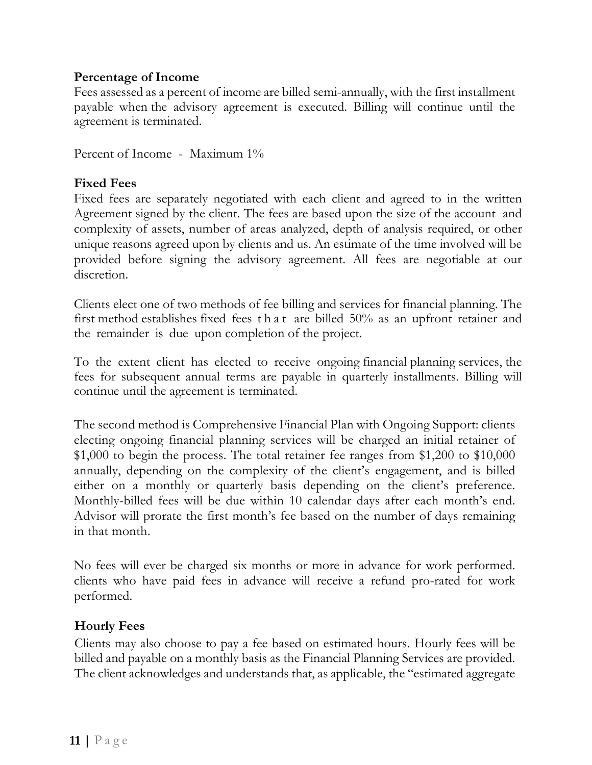#### **Percentage of Income**

Fees assessed as a percent of income are billed semi-annually, with the first installment payable when the advisory agreement is executed. Billing will continue until the agreement is terminated.

Percent of Income - Maximum 1%

#### **Fixed Fees**

Fixed fees are separately negotiated with each client and agreed to in the written Agreement signed by the client. The fees are based upon the size of the account and complexity of assets, number of areas analyzed, depth of analysis required, or other unique reasons agreed upon by clients and us. An estimate of the time involved will be provided before signing the advisory agreement. All fees are negotiable at our discretion.

Clients elect one of two methods of fee billing and services for financial planning. The first method establishes fixed fees that are billed 50% as an upfront retainer and the remainder is due upon completion of the project.

To the extent client has elected to receive ongoing financial planning services, the fees for subsequent annual terms are payable in quarterly installments. Billing will continue until the agreement is terminated.

The second method is Comprehensive Financial Plan with Ongoing Support: clients electing ongoing financial planning services will be charged an initial retainer of \$1,000 to begin the process. The total retainer fee ranges from \$1,200 to \$10,000 annually, depending on the complexity of the client's engagement, and is billed either on a monthly or quarterly basis depending on the client's preference. Monthly-billed fees will be due within 10 calendar days after each month's end. Advisor will prorate the first month's fee based on the number of days remaining in that month.

No fees will ever be charged six months or more in advance for work performed. clients who have paid fees in advance will receive a refund pro-rated for work performed.

#### **Hourly Fees**

Clients may also choose to pay a fee based on estimated hours. Hourly fees will be billed and payable on a monthly basis as the Financial Planning Services are provided. The client acknowledges and understands that, as applicable, the "estimated aggregate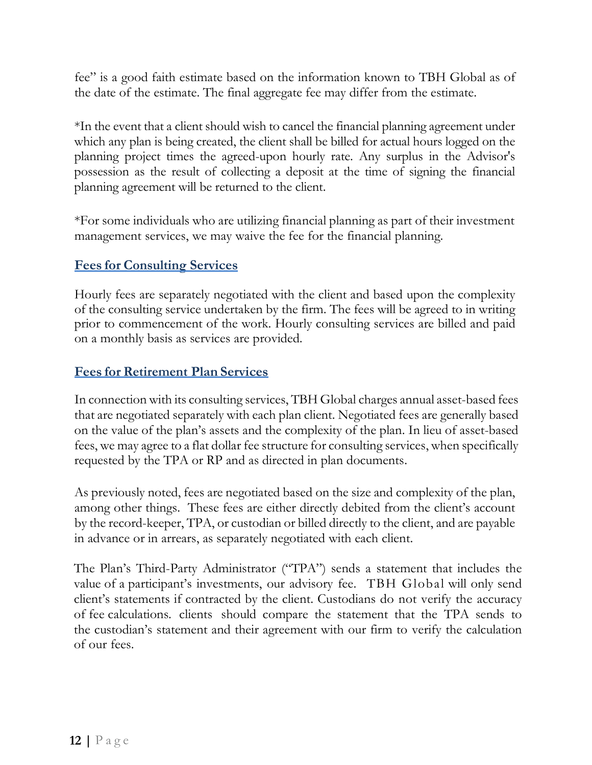fee" is a good faith estimate based on the information known to TBH Global as of the date of the estimate. The final aggregate fee may differ from the estimate.

\*In the event that a client should wish to cancel the financial planning agreement under which any plan is being created, the client shall be billed for actual hours logged on the planning project times the agreed-upon hourly rate. Any surplus in the Advisor's possession as the result of collecting a deposit at the time of signing the financial planning agreement will be returned to the client.

\*For some individuals who are utilizing financial planning as part of their investment management services, we may waive the fee for the financial planning.

### **Fees for Consulting Services**

Hourly fees are separately negotiated with the client and based upon the complexity of the consulting service undertaken by the firm. The fees will be agreed to in writing prior to commencement of the work. Hourly consulting services are billed and paid on a monthly basis as services are provided.

### **Fees for Retirement Plan Services**

In connection with its consulting services, TBH Global charges annual asset-based fees that are negotiated separately with each plan client. Negotiated fees are generally based on the value of the plan's assets and the complexity of the plan. In lieu of asset-based fees, we may agree to a flat dollar fee structure for consulting services, when specifically requested by the TPA or RP and as directed in plan documents.

As previously noted, fees are negotiated based on the size and complexity of the plan, among other things. These fees are either directly debited from the client's account by the record-keeper, TPA, or custodian or billed directly to the client, and are payable in advance or in arrears, as separately negotiated with each client.

The Plan's Third-Party Administrator ("TPA") sends a statement that includes the value of a participant's investments, our advisory fee. TBH Global will only send client's statements if contracted by the client. Custodians do not verify the accuracy of fee calculations. clients should compare the statement that the TPA sends to the custodian's statement and their agreement with our firm to verify the calculation of our fees.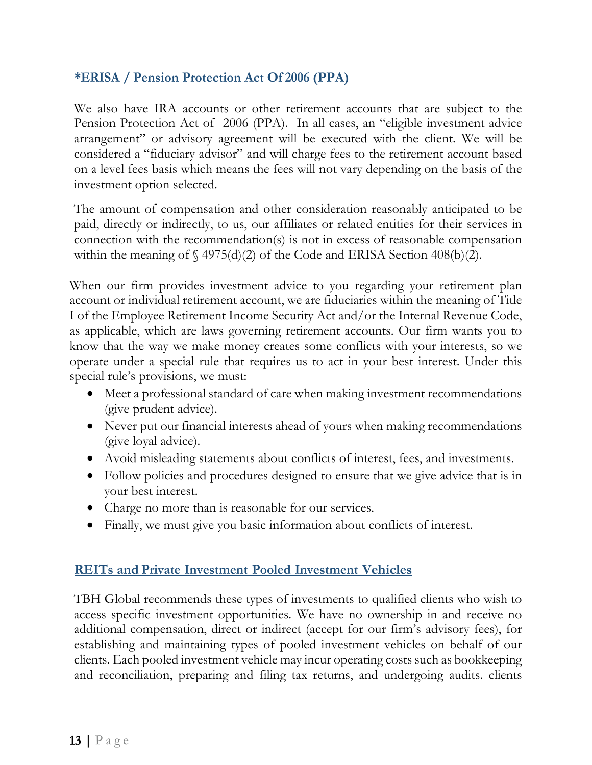### **\*ERISA / Pension Protection Act Of 2006 (PPA)**

We also have IRA accounts or other retirement accounts that are subject to the Pension Protection Act of 2006 (PPA). In all cases, an "eligible investment advice arrangement" or advisory agreement will be executed with the client. We will be considered a "fiduciary advisor" and will charge fees to the retirement account based on a level fees basis which means the fees will not vary depending on the basis of the investment option selected.

The amount of compensation and other consideration reasonably anticipated to be paid, directly or indirectly, to us, our affiliates or related entities for their services in connection with the recommendation(s) is not in excess of reasonable compensation within the meaning of  $\S$  4975(d)(2) of the Code and ERISA Section 408(b)(2).

When our firm provides investment advice to you regarding your retirement plan account or individual retirement account, we are fiduciaries within the meaning of Title I of the Employee Retirement Income Security Act and/or the Internal Revenue Code, as applicable, which are laws governing retirement accounts. Our firm wants you to know that the way we make money creates some conflicts with your interests, so we operate under a special rule that requires us to act in your best interest. Under this special rule's provisions, we must:

- Meet a professional standard of care when making investment recommendations (give prudent advice).
- Never put our financial interests ahead of yours when making recommendations (give loyal advice).
- Avoid misleading statements about conflicts of interest, fees, and investments.
- Follow policies and procedures designed to ensure that we give advice that is in your best interest.
- Charge no more than is reasonable for our services.
- Finally, we must give you basic information about conflicts of interest.

### **REITs and Private Investment Pooled Investment Vehicles**

TBH Global recommends these types of investments to qualified clients who wish to access specific investment opportunities. We have no ownership in and receive no additional compensation, direct or indirect (accept for our firm's advisory fees), for establishing and maintaining types of pooled investment vehicles on behalf of our clients. Each pooled investment vehicle may incur operating costs such as bookkeeping and reconciliation, preparing and filing tax returns, and undergoing audits. clients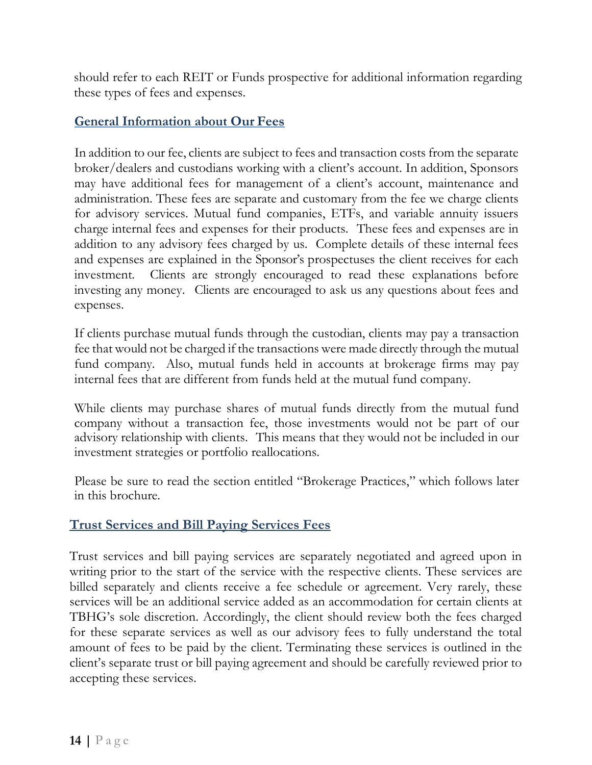should refer to each REIT or Funds prospective for additional information regarding these types of fees and expenses.

### **General Information about Our Fees**

In addition to our fee, clients are subject to fees and transaction costs from the separate broker/dealers and custodians working with a client's account. In addition, Sponsors may have additional fees for management of a client's account, maintenance and administration. These fees are separate and customary from the fee we charge clients for advisory services. Mutual fund companies, ETFs, and variable annuity issuers charge internal fees and expenses for their products. These fees and expenses are in addition to any advisory fees charged by us. Complete details of these internal fees and expenses are explained in the Sponsor's prospectuses the client receives for each investment. Clients are strongly encouraged to read these explanations before investing any money. Clients are encouraged to ask us any questions about fees and expenses.

If clients purchase mutual funds through the custodian, clients may pay a transaction fee that would not be charged if the transactions were made directly through the mutual fund company. Also, mutual funds held in accounts at brokerage firms may pay internal fees that are different from funds held at the mutual fund company.

While clients may purchase shares of mutual funds directly from the mutual fund company without a transaction fee, those investments would not be part of our advisory relationship with clients. This means that they would not be included in our investment strategies or portfolio reallocations.

Please be sure to read the section entitled "Brokerage Practices," which follows later in this brochure.

### **Trust Services and Bill Paying Services Fees**

Trust services and bill paying services are separately negotiated and agreed upon in writing prior to the start of the service with the respective clients. These services are billed separately and clients receive a fee schedule or agreement. Very rarely, these services will be an additional service added as an accommodation for certain clients at TBHG's sole discretion. Accordingly, the client should review both the fees charged for these separate services as well as our advisory fees to fully understand the total amount of fees to be paid by the client. Terminating these services is outlined in the client's separate trust or bill paying agreement and should be carefully reviewed prior to accepting these services.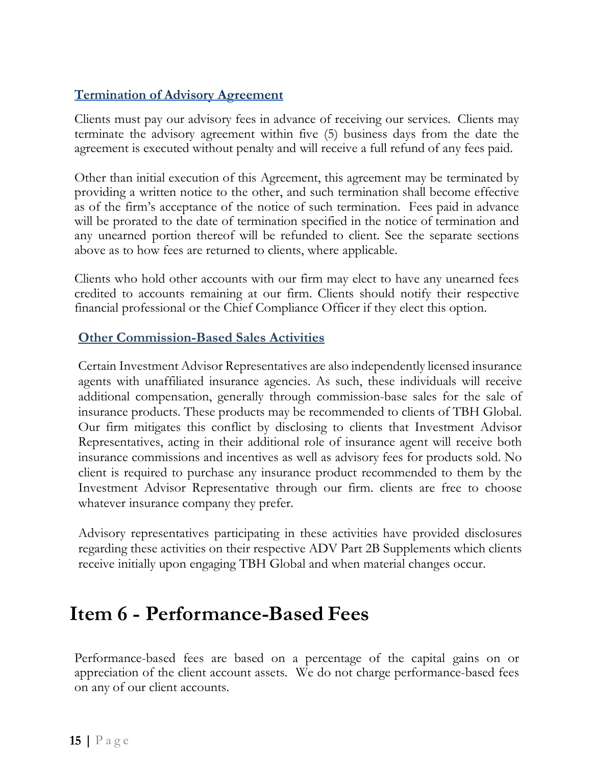### **Termination of Advisory Agreement**

Clients must pay our advisory fees in advance of receiving our services. Clients may terminate the advisory agreement within five (5) business days from the date the agreement is executed without penalty and will receive a full refund of any fees paid.

Other than initial execution of this Agreement, this agreement may be terminated by providing a written notice to the other, and such termination shall become effective as of the firm's acceptance of the notice of such termination. Fees paid in advance will be prorated to the date of termination specified in the notice of termination and any unearned portion thereof will be refunded to client. See the separate sections above as to how fees are returned to clients, where applicable.

Clients who hold other accounts with our firm may elect to have any unearned fees credited to accounts remaining at our firm. Clients should notify their respective financial professional or the Chief Compliance Officer if they elect this option.

#### **Other Commission-Based Sales Activities**

Certain Investment Advisor Representatives are also independently licensed insurance agents with unaffiliated insurance agencies. As such, these individuals will receive additional compensation, generally through commission-base sales for the sale of insurance products. These products may be recommended to clients of TBH Global. Our firm mitigates this conflict by disclosing to clients that Investment Advisor Representatives, acting in their additional role of insurance agent will receive both insurance commissions and incentives as well as advisory fees for products sold. No client is required to purchase any insurance product recommended to them by the Investment Advisor Representative through our firm. clients are free to choose whatever insurance company they prefer.

Advisory representatives participating in these activities have provided disclosures regarding these activities on their respective ADV Part 2B Supplements which clients receive initially upon engaging TBH Global and when material changes occur.

## <span id="page-14-0"></span>**Item 6 - Performance-Based Fees**

Performance-based fees are based on a percentage of the capital gains on or appreciation of the client account assets. We do not charge performance-based fees on any of our client accounts.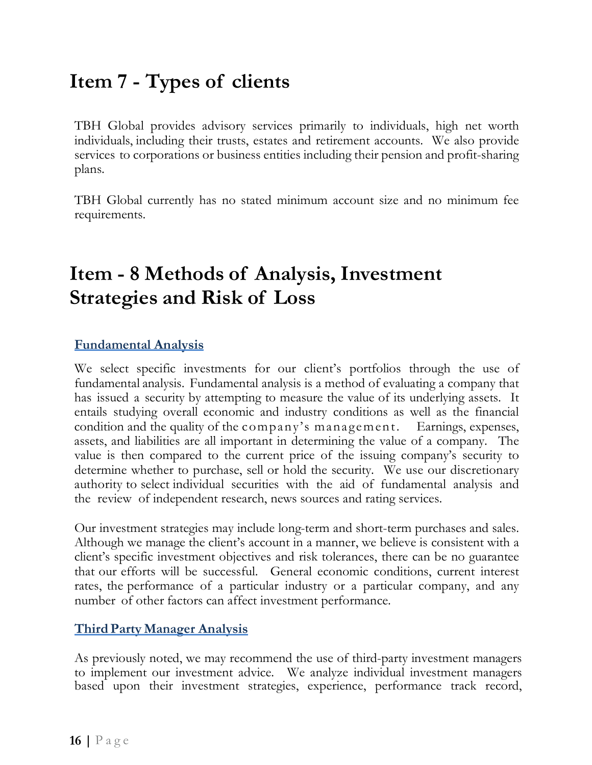## <span id="page-15-0"></span>**Item 7 - Types of clients**

TBH Global provides advisory services primarily to individuals, high net worth individuals, including their trusts, estates and retirement accounts. We also provide services to corporations or business entities including their pension and profit-sharing plans.

TBH Global currently has no stated minimum account size and no minimum fee requirements.

## <span id="page-15-1"></span>**Item - 8 Methods of Analysis, Investment Strategies and Risk of Loss**

#### **Fundamental Analysis**

We select specific investments for our client's portfolios through the use of fundamental analysis. Fundamental analysis is a method of evaluating a company that has issued a security by attempting to measure the value of its underlying assets. It entails studying overall economic and industry conditions as well as the financial condition and the quality of the company 's mana gement. Earnings, expenses, assets, and liabilities are all important in determining the value of a company. The value is then compared to the current price of the issuing company's security to determine whether to purchase, sell or hold the security. We use our discretionary authority to select individual securities with the aid of fundamental analysis and the review of independent research, news sources and rating services.

Our investment strategies may include long-term and short-term purchases and sales. Although we manage the client's account in a manner, we believe is consistent with a client's specific investment objectives and risk tolerances, there can be no guarantee that our efforts will be successful. General economic conditions, current interest rates, the performance of a particular industry or a particular company, and any number of other factors can affect investment performance.

#### **Third Party Manager Analysis**

As previously noted, we may recommend the use of third-party investment managers to implement our investment advice. We analyze individual investment managers based upon their investment strategies, experience, performance track record,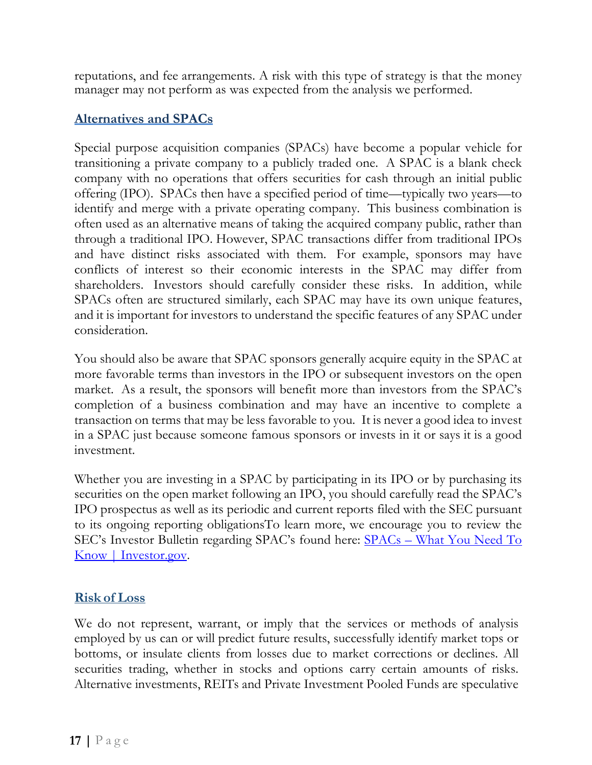reputations, and fee arrangements. A risk with this type of strategy is that the money manager may not perform as was expected from the analysis we performed.

### **Alternatives and SPACs**

Special purpose acquisition companies (SPACs) have become a popular vehicle for transitioning a private company to a publicly traded one. A SPAC is a [blank check](https://lnks.gd/l/eyJhbGciOiJIUzI1NiJ9.eyJidWxsZXRpbl9saW5rX2lkIjoxMDMsInVyaSI6ImJwMjpjbGljayIsImJ1bGxldGluX2lkIjoiMjAyMTAzMTEuMzY4MTMwMTEiLCJ1cmwiOiJodHRwczovL3d3dy5pbnZlc3Rvci5nb3YvaW50cm9kdWN0aW9uLWludmVzdGluZy9pbnZlc3RpbmctYmFzaWNzL2dsb3NzYXJ5L2JsYW5rLWNoZWNrLWNvbXBhbnk_dXRtX21lZGl1bT1lbWFpbCZ1dG1fc291cmNlPWdvdmRlbGl2ZXJ5In0.Qblhsjm_LOrqF4yu3auuCY6UdkdTxE2KFIg9E6VMH4s/s/1294725718/br/99777606219-l)  [company](https://lnks.gd/l/eyJhbGciOiJIUzI1NiJ9.eyJidWxsZXRpbl9saW5rX2lkIjoxMDMsInVyaSI6ImJwMjpjbGljayIsImJ1bGxldGluX2lkIjoiMjAyMTAzMTEuMzY4MTMwMTEiLCJ1cmwiOiJodHRwczovL3d3dy5pbnZlc3Rvci5nb3YvaW50cm9kdWN0aW9uLWludmVzdGluZy9pbnZlc3RpbmctYmFzaWNzL2dsb3NzYXJ5L2JsYW5rLWNoZWNrLWNvbXBhbnk_dXRtX21lZGl1bT1lbWFpbCZ1dG1fc291cmNlPWdvdmRlbGl2ZXJ5In0.Qblhsjm_LOrqF4yu3auuCY6UdkdTxE2KFIg9E6VMH4s/s/1294725718/br/99777606219-l) with no operations that offers securities for cash through an [initial public](https://lnks.gd/l/eyJhbGciOiJIUzI1NiJ9.eyJidWxsZXRpbl9saW5rX2lkIjoxMDQsInVyaSI6ImJwMjpjbGljayIsImJ1bGxldGluX2lkIjoiMjAyMTAzMTEuMzY4MTMwMTEiLCJ1cmwiOiJodHRwczovL3d3dy5pbnZlc3Rvci5nb3YvaW50cm9kdWN0aW9uLWludmVzdGluZy9pbnZlc3RpbmctYmFzaWNzL2dsb3NzYXJ5L2luaXRpYWwtcHVibGljLW9mZmVyaW5nLWlwbz91dG1fbWVkaXVtPWVtYWlsJnV0bV9zb3VyY2U9Z292ZGVsaXZlcnkifQ.14t2q_3Vgi3GSZZgJkFis8YJ3g_VAKIb2HCKBssE1bw/s/1294725718/br/99777606219-l)  [offering](https://lnks.gd/l/eyJhbGciOiJIUzI1NiJ9.eyJidWxsZXRpbl9saW5rX2lkIjoxMDQsInVyaSI6ImJwMjpjbGljayIsImJ1bGxldGluX2lkIjoiMjAyMTAzMTEuMzY4MTMwMTEiLCJ1cmwiOiJodHRwczovL3d3dy5pbnZlc3Rvci5nb3YvaW50cm9kdWN0aW9uLWludmVzdGluZy9pbnZlc3RpbmctYmFzaWNzL2dsb3NzYXJ5L2luaXRpYWwtcHVibGljLW9mZmVyaW5nLWlwbz91dG1fbWVkaXVtPWVtYWlsJnV0bV9zb3VyY2U9Z292ZGVsaXZlcnkifQ.14t2q_3Vgi3GSZZgJkFis8YJ3g_VAKIb2HCKBssE1bw/s/1294725718/br/99777606219-l) (IPO). SPACs then have a specified period of time—typically two years—to identify and merge with a private operating company. This business combination is often used as an alternative means of taking the acquired company public, rather than through a traditional IPO. However, SPAC transactions differ from traditional IPOs and have distinct [risks](https://lnks.gd/l/eyJhbGciOiJIUzI1NiJ9.eyJidWxsZXRpbl9saW5rX2lkIjoxMDYsInVyaSI6ImJwMjpjbGljayIsImJ1bGxldGluX2lkIjoiMjAyMTAzMTEuMzY4MTMwMTEiLCJ1cmwiOiJodHRwczovL3d3dy5pbnZlc3Rvci5nb3YvaW50cm9kdWN0aW9uLWludmVzdGluZy9nZW5lcmFsLXJlc291cmNlcy9uZXdzLWFsZXJ0cy9hbGVydHMtYnVsbGV0aW5zL2ludmVzdG9yLWJ1bGxldGlucy93aGF0LXlvdT91dG1fbWVkaXVtPWVtYWlsJnV0bV9zb3VyY2U9Z292ZGVsaXZlcnkifQ.WjDOc72KxNIaG4BlPG2bRzmo7ZdzkHQyxGRFAz9QwJ8/s/1294725718/br/99777606219-l) associated with them. For example, sponsors may have conflicts of interest so their economic interests in the SPAC may differ from shareholders. Investors should carefully consider these risks. In addition, while SPACs often are structured similarly, each SPAC may have its own unique features, and it is important for investors to understand the specific features of any SPAC under consideration.

You should also be aware that SPAC sponsors generally acquire equity in the SPAC at more favorable terms than investors in the IPO or subsequent investors on the open market. As a result, the sponsors will benefit more than investors from the SPAC's completion of a business combination and may have an incentive to complete a transaction on terms that may be less favorable to you. It is never a good idea to invest in a SPAC just because someone famous sponsors or invests in it or says it is a good investment.

Whether you are investing in a SPAC by participating in its IPO or by purchasing its securities on the open market following an IPO, you should carefully read the SPAC's IPO prospectus as well as its [periodic](https://www.investor.gov/introduction-investing/investing-basics/glossary/form-10-k) and [current reports](https://www.investor.gov/introduction-investing/investing-basics/glossary/form-8-k) filed with the SEC pursuant to its ongoing reporting obligationsTo learn more, we encourage you to review the SEC's Investor Bulletin regarding SPAC's found here: SPACs – [What You Need To](https://www.investor.gov/introduction-investing/general-resources/news-alerts/alerts-bulletins/investor-bulletins/what-you?utm_medium=email&utm_source=govdelivery)  [Know | Investor.gov.](https://www.investor.gov/introduction-investing/general-resources/news-alerts/alerts-bulletins/investor-bulletins/what-you?utm_medium=email&utm_source=govdelivery)

### **Risk of Loss**

We do not represent, warrant, or imply that the services or methods of analysis employed by us can or will predict future results, successfully identify market tops or bottoms, or insulate clients from losses due to market corrections or declines. All securities trading, whether in stocks and options carry certain amounts of risks. Alternative investments, REITs and Private Investment Pooled Funds are speculative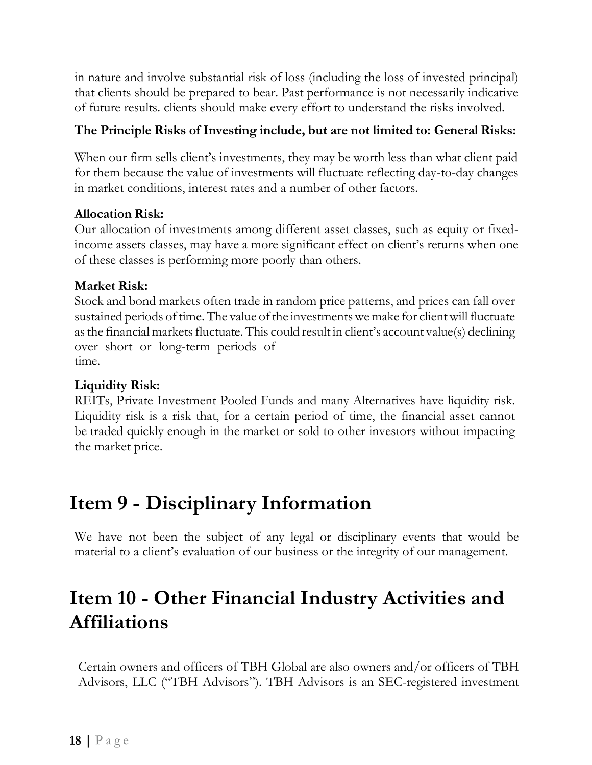in nature and involve substantial risk of loss (including the loss of invested principal) that clients should be prepared to bear. Past performance is not necessarily indicative of future results. clients should make every effort to understand the risks involved.

#### **The Principle Risks of Investing include, but are not limited to: General Risks:**

When our firm sells client's investments, they may be worth less than what client paid for them because the value of investments will fluctuate reflecting day-to-day changes in market conditions, interest rates and a number of other factors.

#### **Allocation Risk:**

Our allocation of investments among different asset classes, such as equity or fixedincome assets classes, may have a more significant effect on client's returns when one of these classes is performing more poorly than others.

### **Market Risk:**

Stock and bond markets often trade in random price patterns, and prices can fall over sustained periods of time. The value of the investments we make for client will fluctuate as the financial markets fluctuate. This could result in client's account value(s) declining over short or long-term periods of time.

#### **Liquidity Risk:**

REITs, Private Investment Pooled Funds and many Alternatives have liquidity risk. Liquidity risk is a risk that, for a certain period of time, the financial asset cannot be traded quickly enough in the market or sold to other investors without impacting the market price.

## <span id="page-17-0"></span>**Item 9 - Disciplinary Information**

We have not been the subject of any legal or disciplinary events that would be material to a client's evaluation of our business or the integrity of our management.

## <span id="page-17-1"></span>**Item 10 - Other Financial Industry Activities and Affiliations**

Certain owners and officers of TBH Global are also owners and/or officers of TBH Advisors, LLC ("TBH Advisors"). TBH Advisors is an SEC-registered investment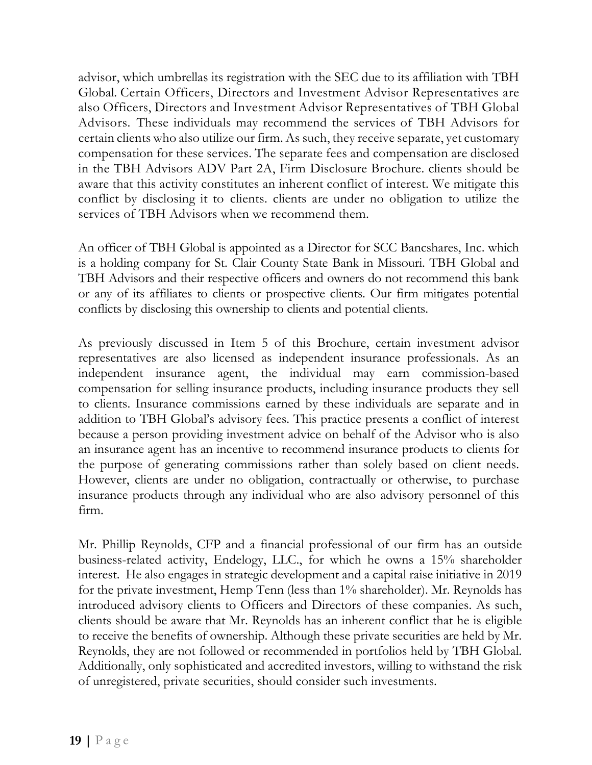advisor, which umbrellas its registration with the SEC due to its affiliation with TBH Global. Certain Officers, Directors and Investment Advisor Representatives are also Officers, Directors and Investment Advisor Representatives of TBH Global Advisors. These individuals may recommend the services of TBH Advisors for certain clients who also utilize our firm. As such, they receive separate, yet customary compensation for these services. The separate fees and compensation are disclosed in the TBH Advisors ADV Part 2A, Firm Disclosure Brochure. clients should be aware that this activity constitutes an inherent conflict of interest. We mitigate this conflict by disclosing it to clients. clients are under no obligation to utilize the services of TBH Advisors when we recommend them.

An officer of TBH Global is appointed as a Director for SCC Bancshares, Inc. which is a holding company for St. Clair County State Bank in Missouri. TBH Global and TBH Advisors and their respective officers and owners do not recommend this bank or any of its affiliates to clients or prospective clients. Our firm mitigates potential conflicts by disclosing this ownership to clients and potential clients.

As previously discussed in Item 5 of this Brochure, certain investment advisor representatives are also licensed as independent insurance professionals. As an independent insurance agent, the individual may earn commission-based compensation for selling insurance products, including insurance products they sell to clients. Insurance commissions earned by these individuals are separate and in addition to TBH Global's advisory fees. This practice presents a conflict of interest because a person providing investment advice on behalf of the Advisor who is also an insurance agent has an incentive to recommend insurance products to clients for the purpose of generating commissions rather than solely based on client needs. However, clients are under no obligation, contractually or otherwise, to purchase insurance products through any individual who are also advisory personnel of this firm.

Mr. Phillip Reynolds, CFP and a financial professional of our firm has an outside business-related activity, Endelogy, LLC., for which he owns a 15% shareholder interest. He also engages in strategic development and a capital raise initiative in 2019 for the private investment, Hemp Tenn (less than 1% shareholder). Mr. Reynolds has introduced advisory clients to Officers and Directors of these companies. As such, clients should be aware that Mr. Reynolds has an inherent conflict that he is eligible to receive the benefits of ownership. Although these private securities are held by Mr. Reynolds, they are not followed or recommended in portfolios held by TBH Global. Additionally, only sophisticated and accredited investors, willing to withstand the risk of unregistered, private securities, should consider such investments.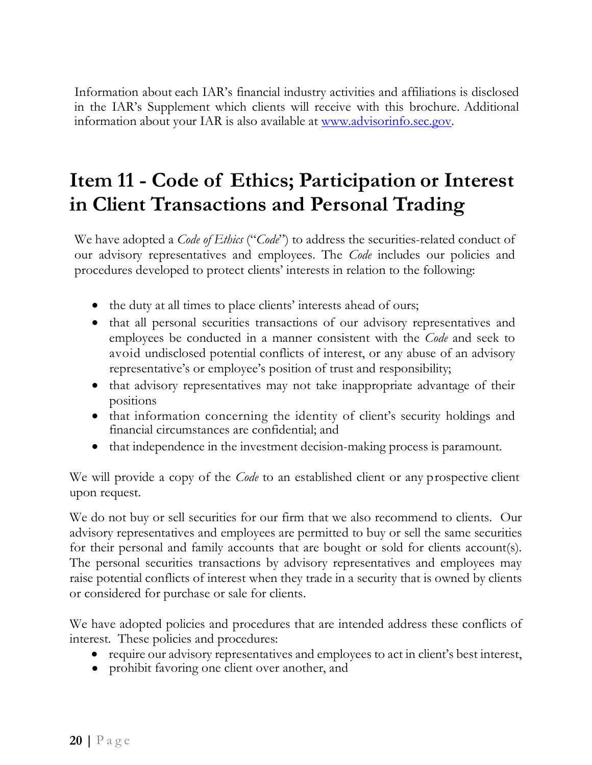Information about each IAR's financial industry activities and affiliations is disclosed in the IAR's Supplement which clients will receive with this brochure. Additional information about your IAR is also available at [www.advisorinfo.sec.gov.](http://www.adviserinfo.sec.gov/) 

# <span id="page-19-0"></span>**Item 11 - Code of Ethics; Participation or Interest in Client Transactions and Personal Trading**

We have adopted a *Code of Ethics* ("*Code*") to address the securities-related conduct of our advisory representatives and employees. The *Code* includes our policies and procedures developed to protect clients' interests in relation to the following:

- the duty at all times to place clients' interests ahead of ours;
- that all personal securities transactions of our advisory representatives and employees be conducted in a manner consistent with the *Code* and seek to avoid undisclosed potential conflicts of interest, or any abuse of an advisory representative's or employee's position of trust and responsibility;
- that advisory representatives may not take inappropriate advantage of their positions
- that information concerning the identity of client's security holdings and financial circumstances are confidential; and
- that independence in the investment decision-making process is paramount.

We will provide a copy of the *Code* to an established client or any prospective client upon request.

We do not buy or sell securities for our firm that we also recommend to clients. Our advisory representatives and employees are permitted to buy or sell the same securities for their personal and family accounts that are bought or sold for clients account(s). The personal securities transactions by advisory representatives and employees may raise potential conflicts of interest when they trade in a security that is owned by clients or considered for purchase or sale for clients.

We have adopted policies and procedures that are intended address these conflicts of interest. These policies and procedures:

- require our advisory representatives and employees to act in client's best interest,
- prohibit favoring one client over another, and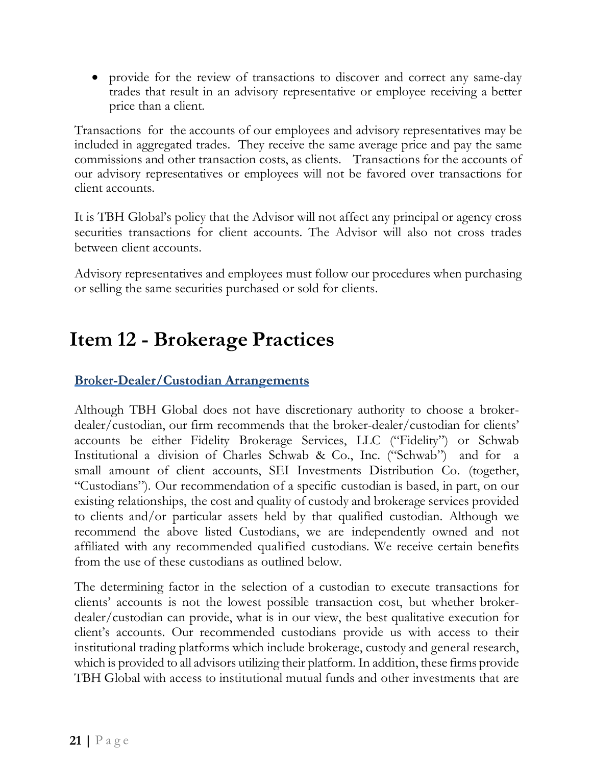• provide for the review of transactions to discover and correct any same-day trades that result in an advisory representative or employee receiving a better price than a client.

Transactions for the accounts of our employees and advisory representatives may be included in aggregated trades. They receive the same average price and pay the same commissions and other transaction costs, as clients. Transactions for the accounts of our advisory representatives or employees will not be favored over transactions for client accounts.

It is TBH Global's policy that the Advisor will not affect any principal or agency cross securities transactions for client accounts. The Advisor will also not cross trades between client accounts.

Advisory representatives and employees must follow our procedures when purchasing or selling the same securities purchased or sold for clients.

## <span id="page-20-0"></span>**Item 12 - Brokerage Practices**

### **Broker-Dealer/Custodian Arrangements**

Although TBH Global does not have discretionary authority to choose a brokerdealer/custodian, our firm recommends that the broker-dealer/custodian for clients' accounts be either Fidelity Brokerage Services, LLC ("Fidelity") or Schwab Institutional a division of Charles Schwab & Co., Inc. ("Schwab") and for a small amount of client accounts, SEI Investments Distribution Co. (together, "Custodians"). Our recommendation of a specific custodian is based, in part, on our existing relationships, the cost and quality of custody and brokerage services provided to clients and/or particular assets held by that qualified custodian. Although we recommend the above listed Custodians, we are independently owned and not affiliated with any recommended qualified custodians. We receive certain benefits from the use of these custodians as outlined below.

The determining factor in the selection of a custodian to execute transactions for clients' accounts is not the lowest possible transaction cost, but whether brokerdealer/custodian can provide, what is in our view, the best qualitative execution for client's accounts. Our recommended custodians provide us with access to their institutional trading platforms which include brokerage, custody and general research, which is provided to all advisors utilizing their platform. In addition, these firms provide TBH Global with access to institutional mutual funds and other investments that are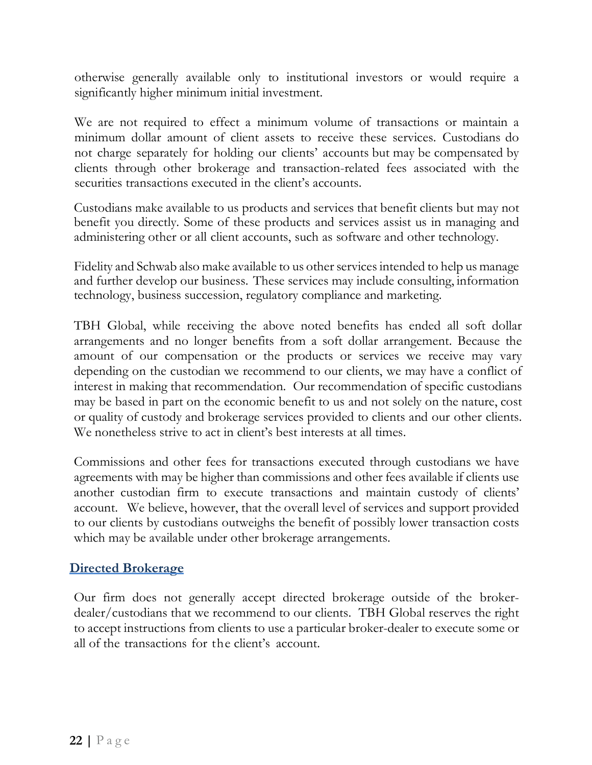otherwise generally available only to institutional investors or would require a significantly higher minimum initial investment.

We are not required to effect a minimum volume of transactions or maintain a minimum dollar amount of client assets to receive these services. Custodians do not charge separately for holding our clients' accounts but may be compensated by clients through other brokerage and transaction-related fees associated with the securities transactions executed in the client's accounts.

Custodians make available to us products and services that benefit clients but may not benefit you directly. Some of these products and services assist us in managing and administering other or all client accounts, such as software and other technology.

Fidelity and Schwab also make available to us other services intended to help us manage and further develop our business. These services may include consulting, information technology, business succession, regulatory compliance and marketing.

TBH Global, while receiving the above noted benefits has ended all soft dollar arrangements and no longer benefits from a soft dollar arrangement. Because the amount of our compensation or the products or services we receive may vary depending on the custodian we recommend to our clients, we may have a conflict of interest in making that recommendation. Our recommendation of specific custodians may be based in part on the economic benefit to us and not solely on the nature, cost or quality of custody and brokerage services provided to clients and our other clients. We nonetheless strive to act in client's best interests at all times.

Commissions and other fees for transactions executed through custodians we have agreements with may be higher than commissions and other fees available if clients use another custodian firm to execute transactions and maintain custody of clients' account. We believe, however, that the overall level of services and support provided to our clients by custodians outweighs the benefit of possibly lower transaction costs which may be available under other brokerage arrangements.

### **Directed Brokerage**

Our firm does not generally accept directed brokerage outside of the brokerdealer/custodians that we recommend to our clients. TBH Global reserves the right to accept instructions from clients to use a particular broker-dealer to execute some or all of the transactions for the client's account.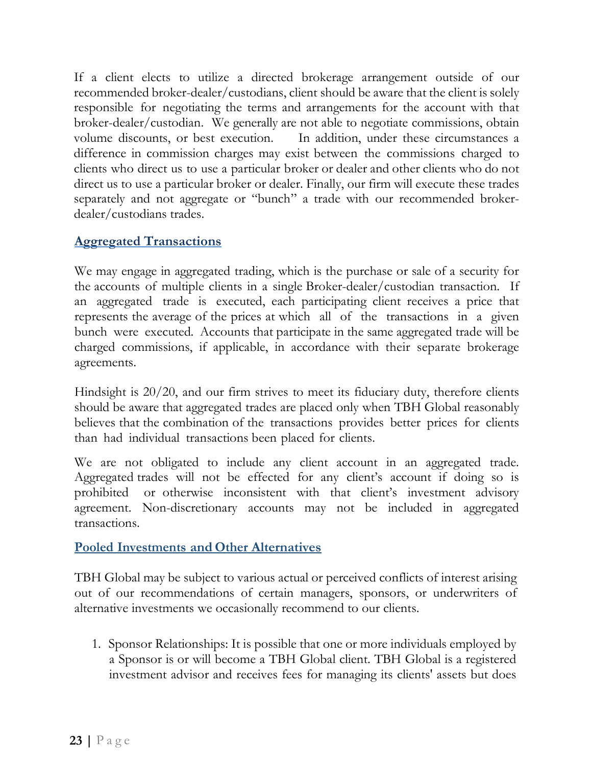If a client elects to utilize a directed brokerage arrangement outside of our recommended broker-dealer/custodians, client should be aware that the client is solely responsible for negotiating the terms and arrangements for the account with that broker-dealer/custodian. We generally are not able to negotiate commissions, obtain volume discounts, or best execution. In addition, under these circumstances a difference in commission charges may exist between the commissions charged to clients who direct us to use a particular broker or dealer and other clients who do not direct us to use a particular broker or dealer. Finally, our firm will execute these trades separately and not aggregate or "bunch" a trade with our recommended brokerdealer/custodians trades.

### **Aggregated Transactions**

We may engage in aggregated trading, which is the purchase or sale of a security for the accounts of multiple clients in a single Broker-dealer/custodian transaction. If an aggregated trade is executed, each participating client receives a price that represents the average of the prices at which all of the transactions in a given bunch were executed. Accounts that participate in the same aggregated trade will be charged commissions, if applicable, in accordance with their separate brokerage agreements.

Hindsight is 20/20, and our firm strives to meet its fiduciary duty, therefore clients should be aware that aggregated trades are placed only when TBH Global reasonably believes that the combination of the transactions provides better prices for clients than had individual transactions been placed for clients.

We are not obligated to include any client account in an aggregated trade. Aggregated trades will not be effected for any client's account if doing so is prohibited or otherwise inconsistent with that client's investment advisory agreement. Non-discretionary accounts may not be included in aggregated transactions.

#### **Pooled Investments and Other Alternatives**

TBH Global may be subject to various actual or perceived conflicts of interest arising out of our recommendations of certain managers, sponsors, or underwriters of alternative investments we occasionally recommend to our clients.

1. Sponsor Relationships: It is possible that one or more individuals employed by a Sponsor is or will become a TBH Global client. TBH Global is a registered investment advisor and receives fees for managing its clients' assets but does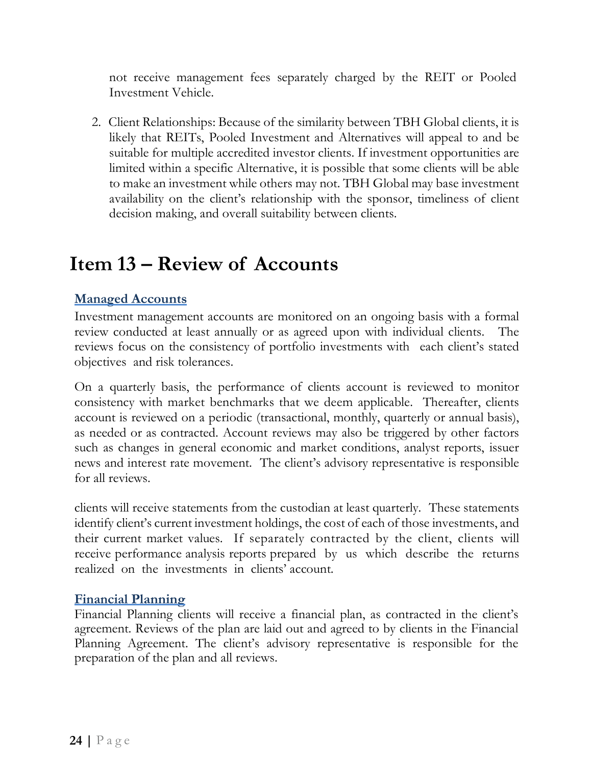not receive management fees separately charged by the REIT or Pooled Investment Vehicle.

2. Client Relationships: Because of the similarity between TBH Global clients, it is likely that REITs, Pooled Investment and Alternatives will appeal to and be suitable for multiple accredited investor clients. If investment opportunities are limited within a specific Alternative, it is possible that some clients will be able to make an investment while others may not. TBH Global may base investment availability on the client's relationship with the sponsor, timeliness of client decision making, and overall suitability between clients.

## <span id="page-23-0"></span>**Item 13 – Review of Accounts**

### **Managed Accounts**

Investment management accounts are monitored on an ongoing basis with a formal review conducted at least annually or as agreed upon with individual clients. The reviews focus on the consistency of portfolio investments with each client's stated objectives and risk tolerances.

On a quarterly basis, the performance of clients account is reviewed to monitor consistency with market benchmarks that we deem applicable. Thereafter, clients account is reviewed on a periodic (transactional, monthly, quarterly or annual basis), as needed or as contracted. Account reviews may also be triggered by other factors such as changes in general economic and market conditions, analyst reports, issuer news and interest rate movement. The client's advisory representative is responsible for all reviews.

clients will receive statements from the custodian at least quarterly. These statements identify client's current investment holdings, the cost of each of those investments, and their current market values. If separately contracted by the client, clients will receive performance analysis reports prepared by us which describe the returns realized on the investments in clients' account.

#### **Financial Planning**

Financial Planning clients will receive a financial plan, as contracted in the client's agreement. Reviews of the plan are laid out and agreed to by clients in the Financial Planning Agreement. The client's advisory representative is responsible for the preparation of the plan and all reviews.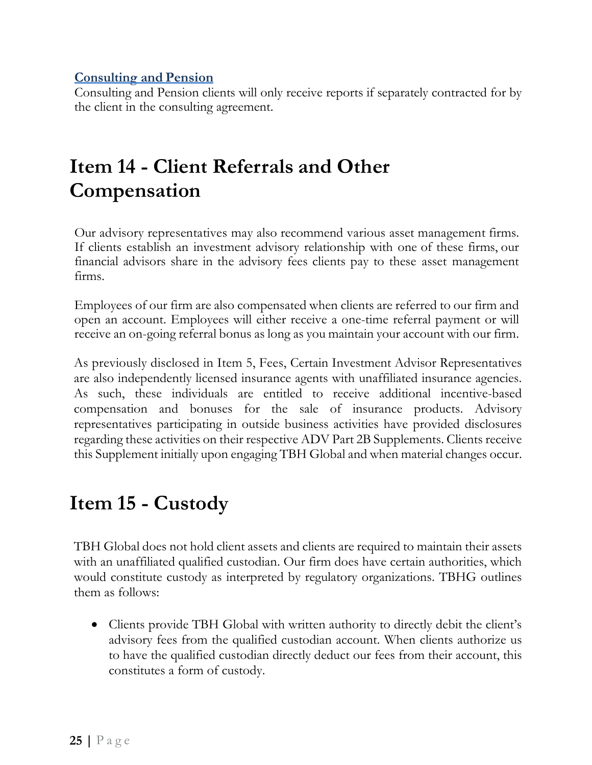#### **Consulting and Pension**

Consulting and Pension clients will only receive reports if separately contracted for by the client in the consulting agreement.

## <span id="page-24-0"></span>**Item 14 - Client Referrals and Other Compensation**

Our advisory representatives may also recommend various asset management firms. If clients establish an investment advisory relationship with one of these firms, our financial advisors share in the advisory fees clients pay to these asset management firms.

Employees of our firm are also compensated when clients are referred to our firm and open an account. Employees will either receive a one-time referral payment or will receive an on-going referral bonus as long as you maintain your account with our firm.

As previously disclosed in Item 5, Fees, Certain Investment Advisor Representatives are also independently licensed insurance agents with unaffiliated insurance agencies. As such, these individuals are entitled to receive additional incentive-based compensation and bonuses for the sale of insurance products. Advisory representatives participating in outside business activities have provided disclosures regarding these activities on their respective ADV Part 2B Supplements. Clients receive this Supplement initially upon engaging TBH Global and when material changes occur.

## <span id="page-24-1"></span>**Item 15 - Custody**

TBH Global does not hold client assets and clients are required to maintain their assets with an unaffiliated qualified custodian. Our firm does have certain authorities, which would constitute custody as interpreted by regulatory organizations. TBHG outlines them as follows:

• Clients provide TBH Global with written authority to directly debit the client's advisory fees from the qualified custodian account. When clients authorize us to have the qualified custodian directly deduct our fees from their account, this constitutes a form of custody.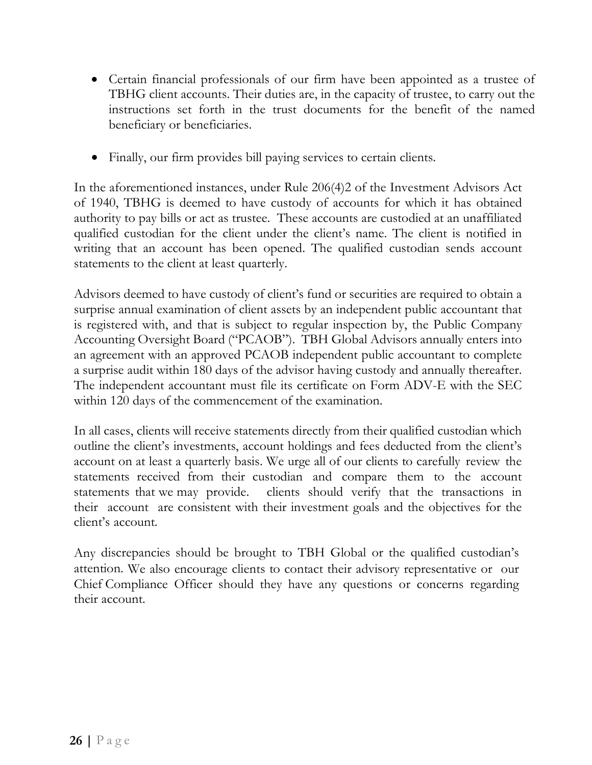- Certain financial professionals of our firm have been appointed as a trustee of TBHG client accounts. Their duties are, in the capacity of trustee, to carry out the instructions set forth in the trust documents for the benefit of the named beneficiary or beneficiaries.
- Finally, our firm provides bill paying services to certain clients.

In the aforementioned instances, under Rule 206(4)2 of the Investment Advisors Act of 1940, TBHG is deemed to have custody of accounts for which it has obtained authority to pay bills or act as trustee. These accounts are custodied at an unaffiliated qualified custodian for the client under the client's name. The client is notified in writing that an account has been opened. The qualified custodian sends account statements to the client at least quarterly.

Advisors deemed to have custody of client's fund or securities are required to obtain a surprise annual examination of client assets by an independent public accountant that is registered with, and that is subject to regular inspection by, the Public Company Accounting Oversight Board ("PCAOB"). TBH Global Advisors annually enters into an agreement with an approved PCAOB independent public accountant to complete a surprise audit within 180 days of the advisor having custody and annually thereafter. The independent accountant must file its certificate on Form ADV-E with the SEC within 120 days of the commencement of the examination.

In all cases, clients will receive statements directly from their qualified custodian which outline the client's investments, account holdings and fees deducted from the client's account on at least a quarterly basis. We urge all of our clients to carefully review the statements received from their custodian and compare them to the account statements that we may provide. clients should verify that the transactions in their account are consistent with their investment goals and the objectives for the client's account.

Any discrepancies should be brought to TBH Global or the qualified custodian's attention. We also encourage clients to contact their advisory representative or our Chief Compliance Officer should they have any questions or concerns regarding their account.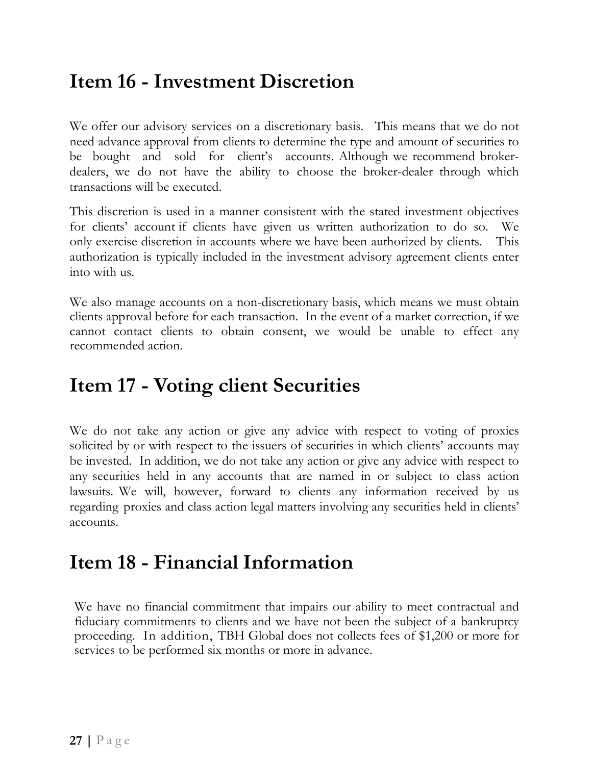## <span id="page-26-0"></span>**Item 16 - Investment Discretion**

We offer our advisory services on a discretionary basis. This means that we do not need advance approval from clients to determine the type and amount of securities to be bought and sold for client's accounts. Although we recommend brokerdealers, we do not have the ability to choose the broker-dealer through which transactions will be executed.

This discretion is used in a manner consistent with the stated investment objectives for clients' account if clients have given us written authorization to do so. We only exercise discretion in accounts where we have been authorized by clients. This authorization is typically included in the investment advisory agreement clients enter into with us.

We also manage accounts on a non-discretionary basis, which means we must obtain clients approval before for each transaction. In the event of a market correction, if we cannot contact clients to obtain consent, we would be unable to effect any recommended action.

## <span id="page-26-1"></span>**Item 17 - Voting client Securities**

We do not take any action or give any advice with respect to voting of proxies solicited by or with respect to the issuers of securities in which clients' accounts may be invested. In addition, we do not take any action or give any advice with respect to any securities held in any accounts that are named in or subject to class action lawsuits. We will, however, forward to clients any information received by us regarding proxies and class action legal matters involving any securities held in clients' accounts.

## <span id="page-26-2"></span>**Item 18 - Financial Information**

We have no financial commitment that impairs our ability to meet contractual and fiduciary commitments to clients and we have not been the subject of a bankruptcy proceeding. In addition, TBH Global does not collects fees of \$1,200 or more for services to be performed six months or more in advance.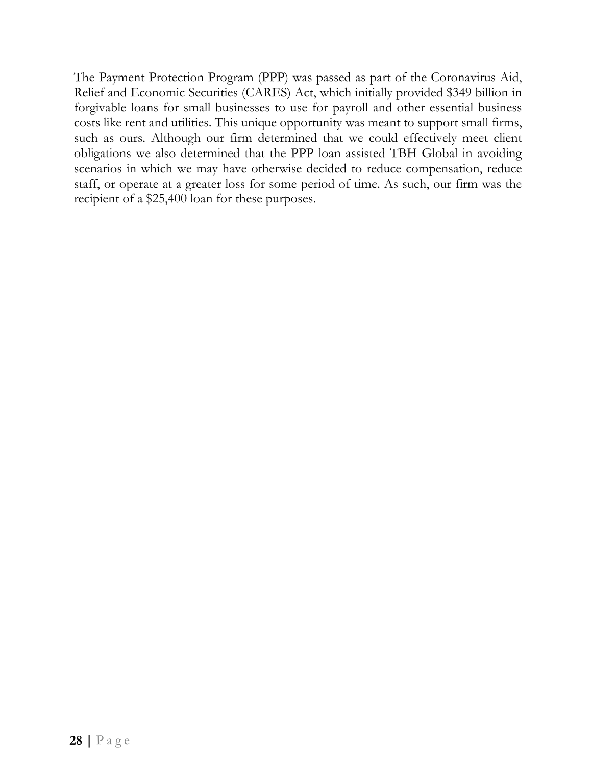The Payment Protection Program (PPP) was passed as part of the Coronavirus Aid, Relief and Economic Securities (CARES) Act, which initially provided \$349 billion in forgivable loans for small businesses to use for payroll and other essential business costs like rent and utilities. This unique opportunity was meant to support small firms, such as ours. Although our firm determined that we could effectively meet client obligations we also determined that the PPP loan assisted TBH Global in avoiding scenarios in which we may have otherwise decided to reduce compensation, reduce staff, or operate at a greater loss for some period of time. As such, our firm was the recipient of a \$25,400 loan for these purposes.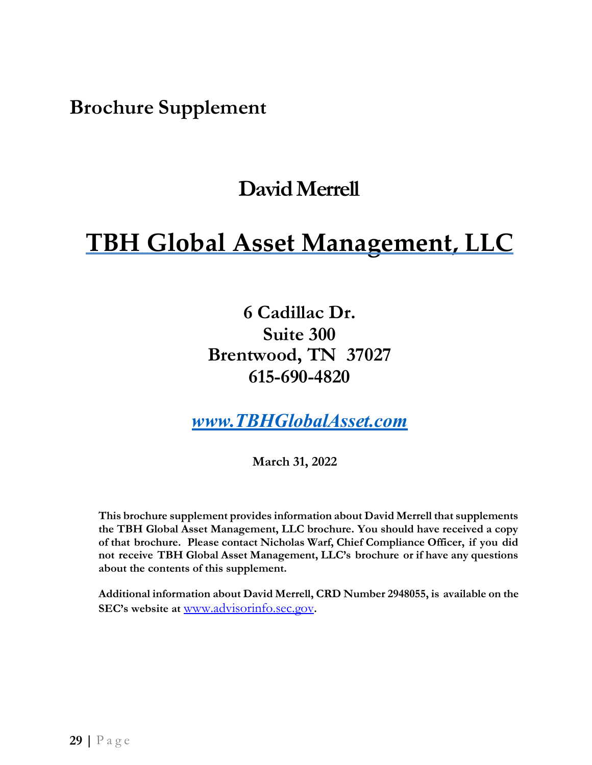<span id="page-28-0"></span>**Brochure Supplement** 

## **David Merrell**

# **TBH Global Asset Management, LLC**

**6 Cadillac Dr. Suite 300 Brentwood, TN 37027 615-690-4820**

*[www.TBHGlobalAsset.com](http://www.tbhglobalasset.com/)*

**March 31, 2022**

**This brochure supplement provides information about David Merrell that supplements the TBH Global Asset Management, LLC brochure. You should have received a copy of that brochure. Please contact Nicholas Warf, Chief Compliance Officer, if you did not receive TBH Global Asset Management, LLC's brochure or if have any questions about the contents of this supplement.**

**Additional information about David Merrell, CRD Number 2948055, is available on the SEC's website at** [www.advisorinfo.sec.gov](http://www.adviserinfo.sec.gov/)**[.](http://www.adviserinfo.sec.gov/)**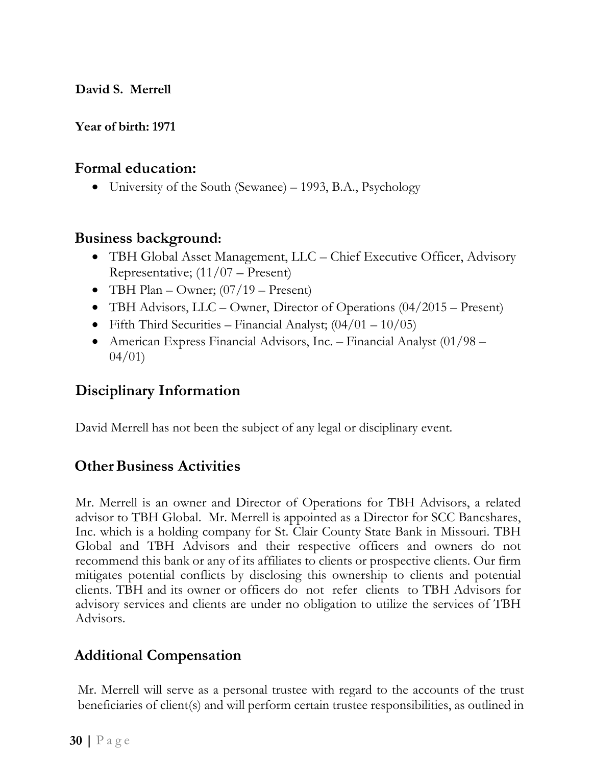**David S. Merrell**

### **Year of birth: 1971**

## **Formal education:**

• University of the South (Sewanee) – 1993, B.A., Psychology

## **Business background:**

- TBH Global Asset Management, LLC Chief Executive Officer, Advisory Representative; (11/07 – Present)
- TBH Plan Owner;  $(07/19$  Present)
- TBH Advisors, LLC Owner, Director of Operations (04/2015 Present)
- Fifth Third Securities Financial Analyst;  $(04/01 10/05)$
- American Express Financial Advisors, Inc. Financial Analyst (01/98 04/01)

## **Disciplinary Information**

David Merrell has not been the subject of any legal or disciplinary event.

## **Other Business Activities**

Mr. Merrell is an owner and Director of Operations for TBH Advisors, a related advisor to TBH Global. Mr. Merrell is appointed as a Director for SCC Bancshares, Inc. which is a holding company for St. Clair County State Bank in Missouri. TBH Global and TBH Advisors and their respective officers and owners do not recommend this bank or any of its affiliates to clients or prospective clients. Our firm mitigates potential conflicts by disclosing this ownership to clients and potential clients. TBH and its owner or officers do not refer clients to TBH Advisors for advisory services and clients are under no obligation to utilize the services of TBH Advisors.

## **Additional Compensation**

Mr. Merrell will serve as a personal trustee with regard to the accounts of the trust beneficiaries of client(s) and will perform certain trustee responsibilities, as outlined in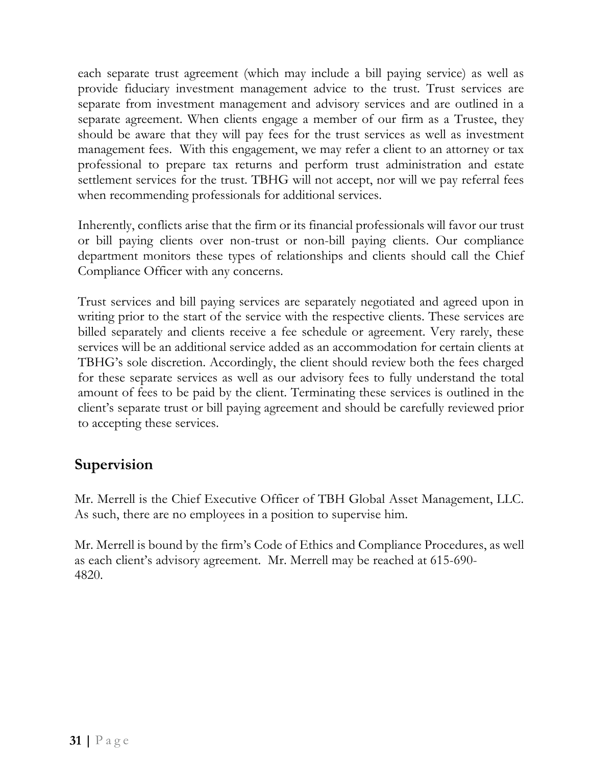each separate trust agreement (which may include a bill paying service) as well as provide fiduciary investment management advice to the trust. Trust services are separate from investment management and advisory services and are outlined in a separate agreement. When clients engage a member of our firm as a Trustee, they should be aware that they will pay fees for the trust services as well as investment management fees. With this engagement, we may refer a client to an attorney or tax professional to prepare tax returns and perform trust administration and estate settlement services for the trust. TBHG will not accept, nor will we pay referral fees when recommending professionals for additional services.

Inherently, conflicts arise that the firm or its financial professionals will favor our trust or bill paying clients over non-trust or non-bill paying clients. Our compliance department monitors these types of relationships and clients should call the Chief Compliance Officer with any concerns.

Trust services and bill paying services are separately negotiated and agreed upon in writing prior to the start of the service with the respective clients. These services are billed separately and clients receive a fee schedule or agreement. Very rarely, these services will be an additional service added as an accommodation for certain clients at TBHG's sole discretion. Accordingly, the client should review both the fees charged for these separate services as well as our advisory fees to fully understand the total amount of fees to be paid by the client. Terminating these services is outlined in the client's separate trust or bill paying agreement and should be carefully reviewed prior to accepting these services.

## **Supervision**

Mr. Merrell is the Chief Executive Officer of TBH Global Asset Management, LLC. As such, there are no employees in a position to supervise him.

Mr. Merrell is bound by the firm's Code of Ethics and Compliance Procedures, as well as each client's advisory agreement. Mr. Merrell may be reached at 615-690- 4820.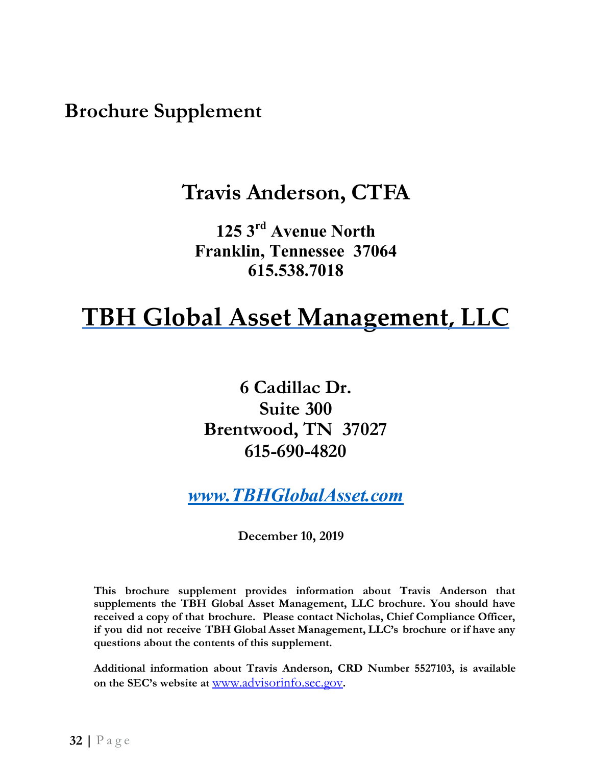<span id="page-31-0"></span>**Brochure Supplement** 

## **Travis Anderson, CTFA**

**125 3rd Avenue North Franklin, Tennessee 37064 615.538.7018**

# **TBH Global Asset Management, LLC**

**6 Cadillac Dr. Suite 300 Brentwood, TN 37027 615-690-4820**

*[www.TBHGlobalAsset.com](http://www.tbhglobalasset.com/)*

**December 10, 2019**

**This brochure supplement provides information about Travis Anderson that supplements the TBH Global Asset Management, LLC brochure. You should have received a copy of that brochure. Please contact Nicholas, Chief Compliance Officer, if you did not receive TBH Global Asset Management, LLC's brochure or if have any questions about the contents of this supplement.**

**Additional information about Travis Anderson, CRD Number 5527103, is available on the SEC's website at** [www.advisorinfo.sec.gov](http://www.adviserinfo.sec.gov/)**[.](http://www.adviserinfo.sec.gov/)**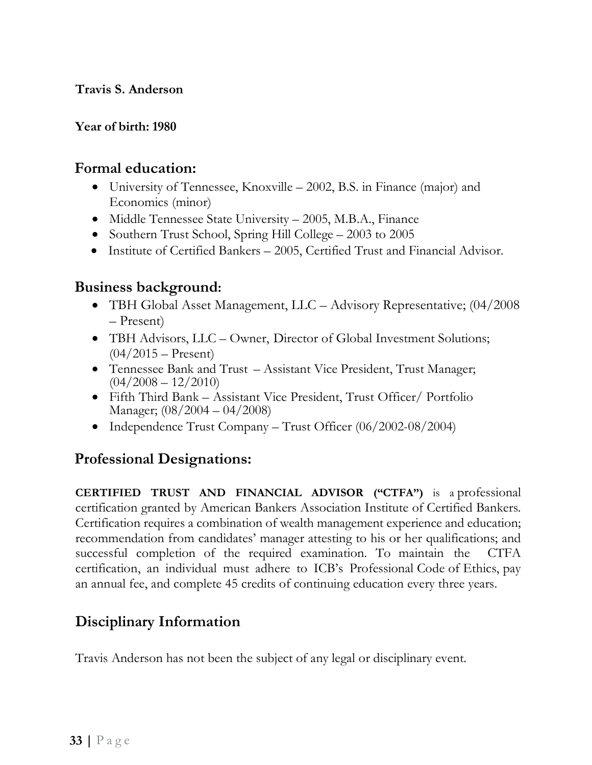#### **Travis S. Anderson**

#### **Year of birth: 1980**

## **Formal education:**

- University of Tennessee, Knoxville 2002, B.S. in Finance (major) and Economics (minor)
- Middle Tennessee State University 2005, M.B.A., Finance
- Southern Trust School, Spring Hill College 2003 to 2005
- Institute of Certified Bankers 2005, Certified Trust and Financial Advisor.

## **Business background:**

- TBH Global Asset Management, LLC Advisory Representative; (04/2008 – Present)
- TBH Advisors, LLC Owner, Director of Global Investment Solutions;  $(04/2015 -$ Present)
- Tennessee Bank and Trust Assistant Vice President, Trust Manager;  $(04/2008 - 12/2010)$
- Fifth Third Bank Assistant Vice President, Trust Officer/ Portfolio Manager; (08/2004 – 04/2008)
- Independence Trust Company Trust Officer (06/2002-08/2004)

## **Professional Designations:**

**CERTIFIED TRUST AND FINANCIAL ADVISOR ("CTFA")** is a professional certification granted by American Bankers Association Institute of Certified Bankers. Certification requires a combination of wealth management experience and education; recommendation from candidates' manager attesting to his or her qualifications; and successful completion of the required examination. To maintain the CTFA certification, an individual must adhere to ICB's Professional Code of Ethics, pay an annual fee, and complete 45 credits of continuing education every three years.

## **Disciplinary Information**

Travis Anderson has not been the subject of any legal or disciplinary event.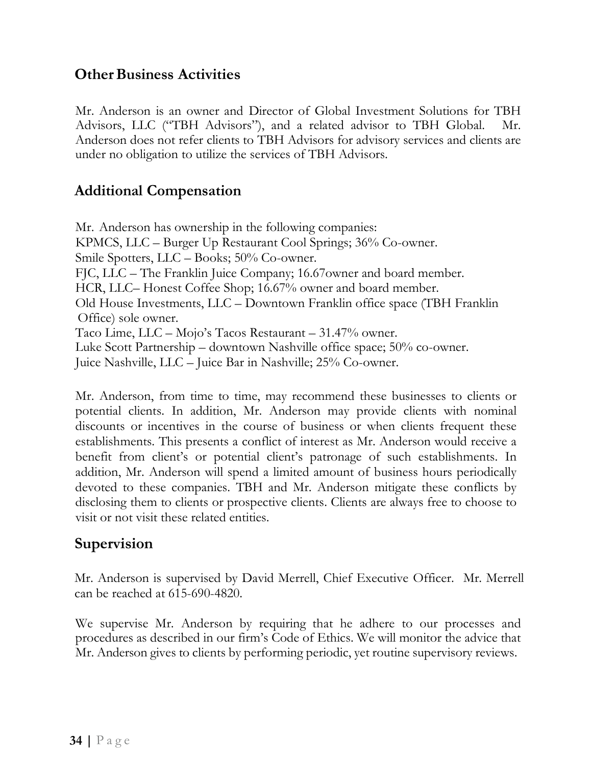## **Other Business Activities**

Mr. Anderson is an owner and Director of Global Investment Solutions for TBH Advisors, LLC ("TBH Advisors"), and a related advisor to TBH Global. Mr. Anderson does not refer clients to TBH Advisors for advisory services and clients are under no obligation to utilize the services of TBH Advisors.

## **Additional Compensation**

Mr. Anderson has ownership in the following companies: KPMCS, LLC – Burger Up Restaurant Cool Springs; 36% Co-owner. Smile Spotters, LLC – Books; 50% Co-owner. FJC, LLC – The Franklin Juice Company; 16.67owner and board member. HCR, LLC– Honest Coffee Shop; 16.67% owner and board member. Old House Investments, LLC – Downtown Franklin office space (TBH Franklin Office) sole owner. Taco Lime, LLC – Mojo's Tacos Restaurant – 31.47% owner. Luke Scott Partnership – downtown Nashville office space; 50% co-owner. Juice Nashville, LLC – Juice Bar in Nashville; 25% Co-owner.

Mr. Anderson, from time to time, may recommend these businesses to clients or potential clients. In addition, Mr. Anderson may provide clients with nominal discounts or incentives in the course of business or when clients frequent these establishments. This presents a conflict of interest as Mr. Anderson would receive a benefit from client's or potential client's patronage of such establishments. In addition, Mr. Anderson will spend a limited amount of business hours periodically devoted to these companies. TBH and Mr. Anderson mitigate these conflicts by disclosing them to clients or prospective clients. Clients are always free to choose to visit or not visit these related entities.

## **Supervision**

Mr. Anderson is supervised by David Merrell, Chief Executive Officer. Mr. Merrell can be reached at 615-690-4820.

We supervise Mr. Anderson by requiring that he adhere to our processes and procedures as described in our firm's Code of Ethics. We will monitor the advice that Mr. Anderson gives to clients by performing periodic, yet routine supervisory reviews.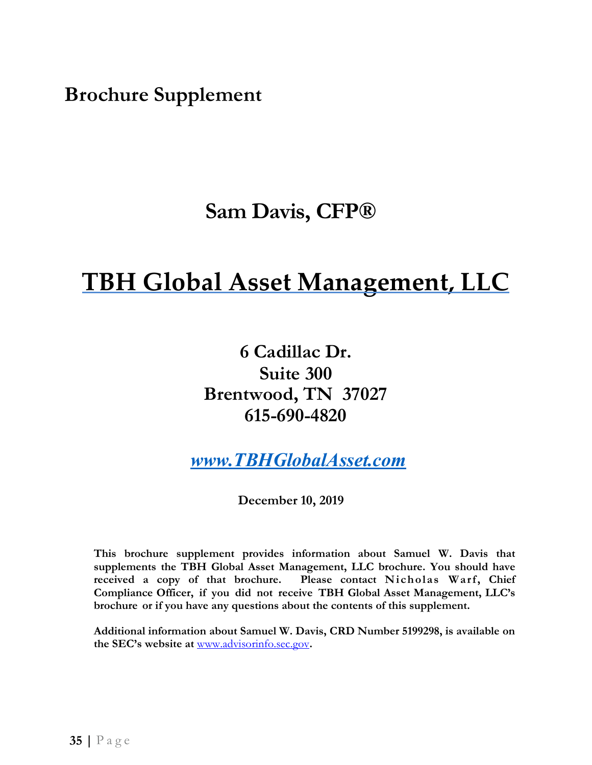<span id="page-34-0"></span> $B$ rochure Supplement

## **Sam Davis, CFP®**

# **TBH Global Asset Management, LLC**

**6 Cadillac Dr. Suite 300 Brentwood, TN 37027 615-690-4820**

*[www.TBHGlobalAsset.com](http://www.tbhglobalasset.com/)*

**December 10, 2019**

**This brochure supplement provides information about Samuel W. Davis that supplements the TBH Global Asset Management, LLC brochure. You should have received a copy of that brochure. Please contact Nicholas Warf, Chief Compliance Officer, if you did not receive TBH Global Asset Management, LLC's brochure or if you have any questions about the contents of this supplement.**

**Additional information about Samuel W. Davis, CRD Number 5199298, is available on the SEC's website at** [www.advisorinfo.sec.gov](http://www.adviserinfo.sec.gov/)**.**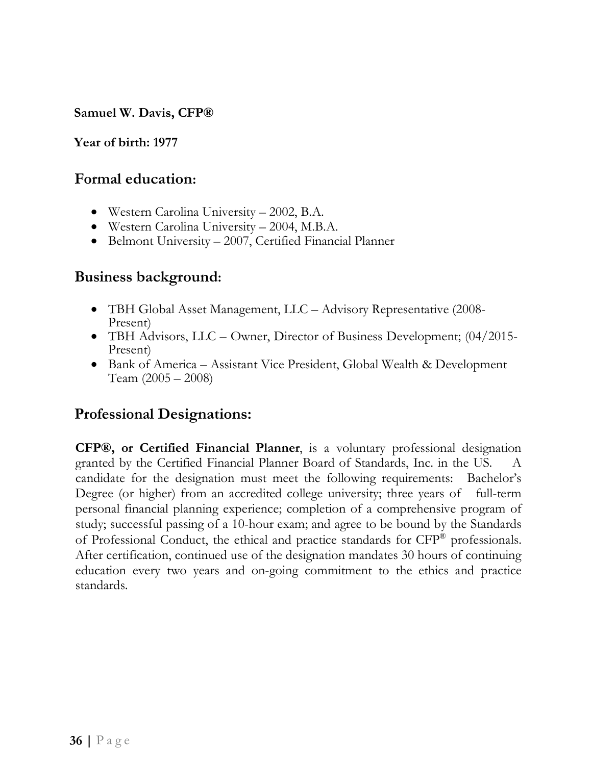**Samuel W. Davis, CFP®** 

#### **Year of birth: 1977**

### **Formal education:**

- Western Carolina University 2002, B.A.
- Western Carolina University 2004, M.B.A.
- Belmont University 2007, Certified Financial Planner

## **Business background:**

- TBH Global Asset Management, LLC Advisory Representative (2008- Present)
- TBH Advisors, LLC Owner, Director of Business Development;  $(04/2015$ -Present)
- Bank of America Assistant Vice President, Global Wealth & Development Team (2005 – 2008)

## **Professional Designations:**

**CFP®, or Certified Financial Planner**, is a voluntary professional designation granted by the Certified Financial Planner Board of Standards, Inc. in the US. A candidate for the designation must meet the following requirements: Bachelor's Degree (or higher) from an accredited college university; three years of full-term personal financial planning experience; completion of a comprehensive program of study; successful passing of a 10-hour exam; and agree to be bound by the Standards of Professional Conduct, the ethical and practice standards for CFP® professionals. After certification, continued use of the designation mandates 30 hours of continuing education every two years and on-going commitment to the ethics and practice standards.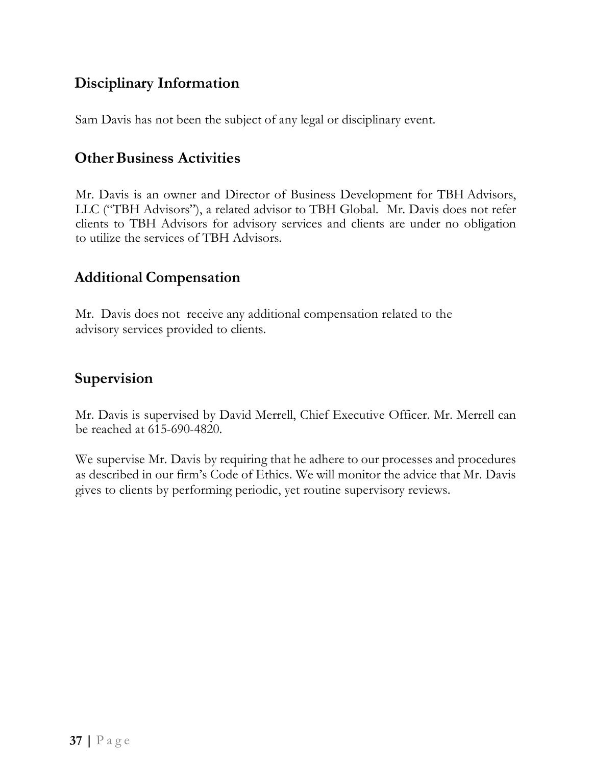## **Disciplinary Information**

Sam Davis has not been the subject of any legal or disciplinary event.

## **Other Business Activities**

Mr. Davis is an owner and Director of Business Development for TBH Advisors, LLC ("TBH Advisors"), a related advisor to TBH Global. Mr. Davis does not refer clients to TBH Advisors for advisory services and clients are under no obligation to utilize the services of TBH Advisors.

## **Additional Compensation**

Mr. Davis does not receive any additional compensation related to the advisory services provided to clients.

## **Supervision**

Mr. Davis is supervised by David Merrell, Chief Executive Officer. Mr. Merrell can be reached at 615-690-4820.

We supervise Mr. Davis by requiring that he adhere to our processes and procedures as described in our firm's Code of Ethics. We will monitor the advice that Mr. Davis gives to clients by performing periodic, yet routine supervisory reviews.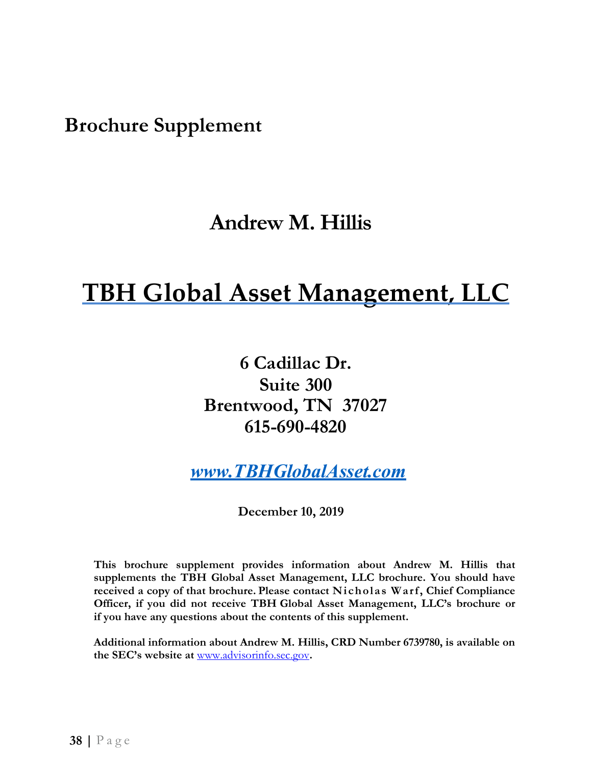<span id="page-37-0"></span>**Brochure Supplement** 

## **Andrew M. Hillis**

# **TBH Global Asset Management, LLC**

**6 Cadillac Dr. Suite 300 Brentwood, TN 37027 615-690-4820**

*[www.TBHGlobalAsset.com](http://www.tbhglobalasset.com/)*

**December 10, 2019**

**This brochure supplement provides information about Andrew M. Hillis that supplements the TBH Global Asset Management, LLC brochure. You should have received a copy of that brochure. Please contact Nicholas Warf, Chief Compliance Officer, if you did not receive TBH Global Asset Management, LLC's brochure or if you have any questions about the contents of this supplement.**

**Additional information about Andrew M. Hillis, CRD Number 6739780, is available on the SEC's website at** [www.advisorinfo.sec.gov](http://www.adviserinfo.sec.gov/)**.**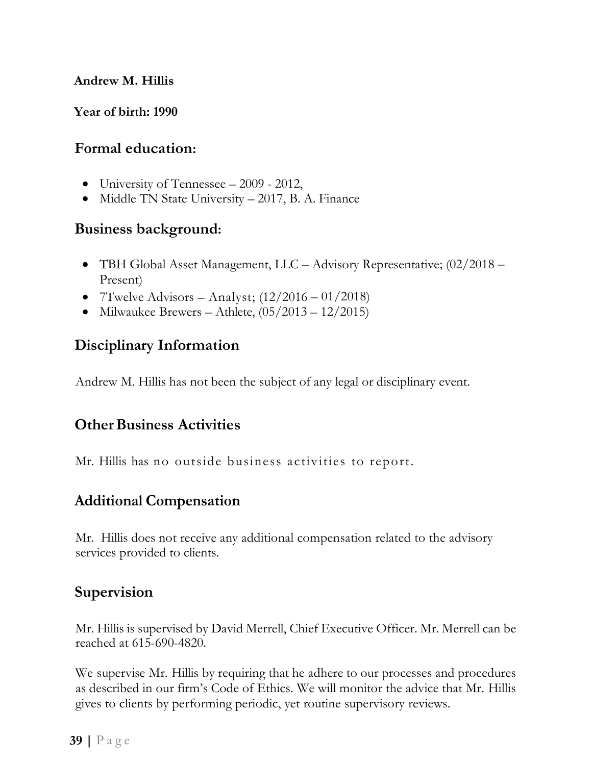#### **Andrew M. Hillis**

**Year of birth: 1990**

### **Formal education:**

- University of Tennessee 2009 2012,
- Middle TN State University 2017, B. A. Finance

### **Business background:**

- TBH Global Asset Management, LLC Advisory Representative; (02/2018 Present)
- 7Twelve Advisors Analyst;  $(12/2016 01/2018)$
- Milwaukee Brewers Athlete,  $(05/2013 12/2015)$

## **Disciplinary Information**

Andrew M. Hillis has not been the subject of any legal or disciplinary event.

## **Other Business Activities**

Mr. Hillis has no outside business activities to report.

## **Additional Compensation**

Mr. Hillis does not receive any additional compensation related to the advisory services provided to clients.

## **Supervision**

Mr. Hillis is supervised by David Merrell, Chief Executive Officer. Mr. Merrell can be reached at 615-690-4820.

We supervise Mr. Hillis by requiring that he adhere to our processes and procedures as described in our firm's Code of Ethics. We will monitor the advice that Mr. Hillis gives to clients by performing periodic, yet routine supervisory reviews.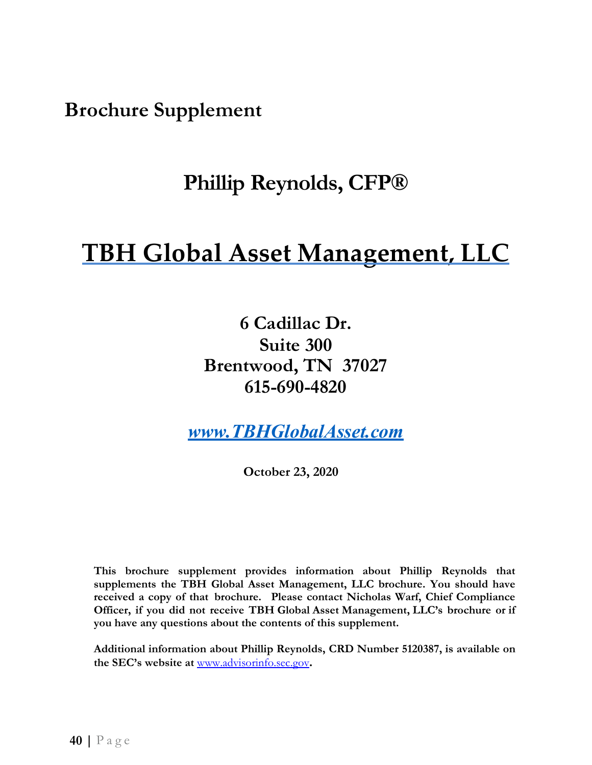<span id="page-39-0"></span>**Brochure Supplement** 

## **Phillip Reynolds, CFP®**

# **TBH Global Asset Management, LLC**

**6 Cadillac Dr. Suite 300 Brentwood, TN 37027 615-690-4820**

*[www.TBHGlobalAsset.com](http://www.tbhglobalasset.com/)*

**October 23, 2020**

**This brochure supplement provides information about Phillip Reynolds that supplements the TBH Global Asset Management, LLC brochure. You should have received a copy of that brochure. Please contact Nicholas Warf, Chief Compliance Officer, if you did not receive TBH Global Asset Management, LLC's brochure or if you have any questions about the contents of this supplement.**

**Additional information about Phillip Reynolds, CRD Number 5120387, is available on the SEC's website at** [www.advisorinfo.sec.gov](http://www.adviserinfo.sec.gov/)**[.](http://www.adviserinfo.sec.gov/)**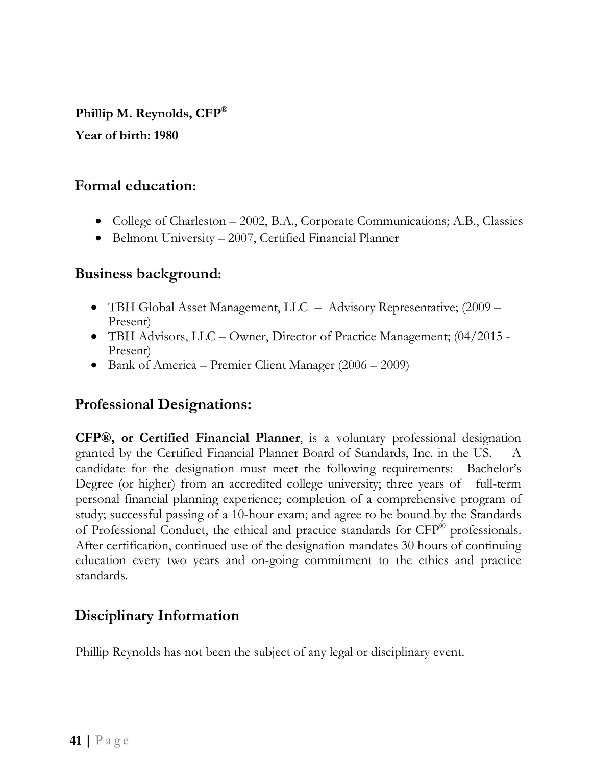**Phillip M. Reynolds, CFP®**

**Year of birth: 1980**

## **Formal education:**

- College of Charleston 2002, B.A., Corporate Communications; A.B., Classics
- Belmont University 2007, Certified Financial Planner

## **Business background:**

- TBH Global Asset Management, LLC Advisory Representative; (2009 Present)
- TBH Advisors, LLC Owner, Director of Practice Management; (04/2015 -Present)
- Bank of America Premier Client Manager (2006 2009)

## **Professional Designations:**

**CFP®, or Certified Financial Planner**, is a voluntary professional designation granted by the Certified Financial Planner Board of Standards, Inc. in the US. A candidate for the designation must meet the following requirements: Bachelor's Degree (or higher) from an accredited college university; three years of full-term personal financial planning experience; completion of a comprehensive program of study; successful passing of a 10-hour exam; and agree to be bound by the Standards of Professional Conduct, the ethical and practice standards for CFP® professionals. After certification, continued use of the designation mandates 30 hours of continuing education every two years and on-going commitment to the ethics and practice standards.

## **Disciplinary Information**

Phillip Reynolds has not been the subject of any legal or disciplinary event.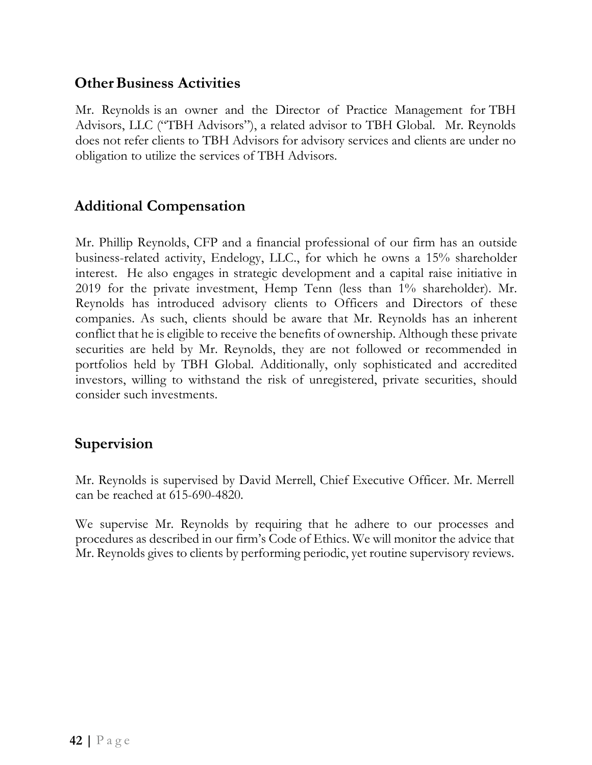## **Other Business Activities**

Mr. Reynolds is an owner and the Director of Practice Management for TBH Advisors, LLC ("TBH Advisors"), a related advisor to TBH Global. Mr. Reynolds does not refer clients to TBH Advisors for advisory services and clients are under no obligation to utilize the services of TBH Advisors.

## **Additional Compensation**

Mr. Phillip Reynolds, CFP and a financial professional of our firm has an outside business-related activity, Endelogy, LLC., for which he owns a 15% shareholder interest. He also engages in strategic development and a capital raise initiative in 2019 for the private investment, Hemp Tenn (less than 1% shareholder). Mr. Reynolds has introduced advisory clients to Officers and Directors of these companies. As such, clients should be aware that Mr. Reynolds has an inherent conflict that he is eligible to receive the benefits of ownership. Although these private securities are held by Mr. Reynolds, they are not followed or recommended in portfolios held by TBH Global. Additionally, only sophisticated and accredited investors, willing to withstand the risk of unregistered, private securities, should consider such investments.

## **Supervision**

Mr. Reynolds is supervised by David Merrell, Chief Executive Officer. Mr. Merrell can be reached at 615-690-4820.

We supervise Mr. Reynolds by requiring that he adhere to our processes and procedures as described in our firm's Code of Ethics. We will monitor the advice that Mr. Reynolds gives to clients by performing periodic, yet routine supervisory reviews.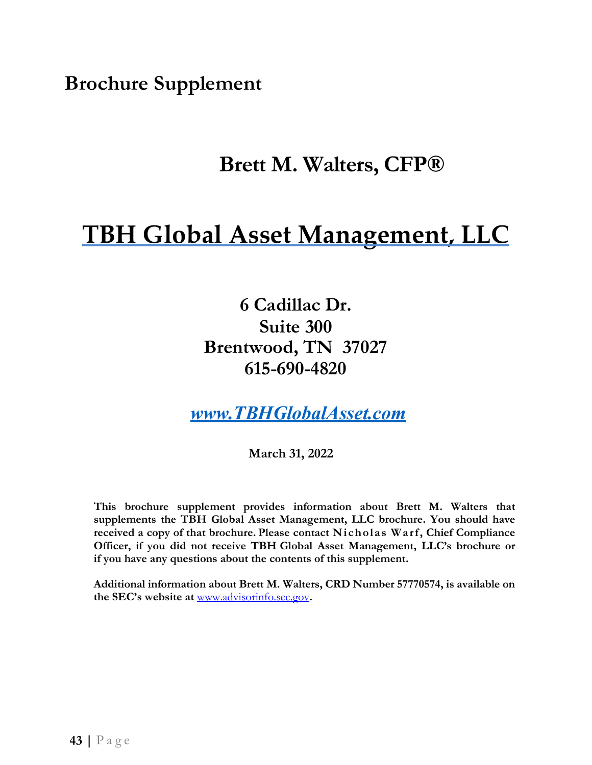<span id="page-42-0"></span>**Brochure Supplement** 

## **Brett M. Walters, CFP®**

# **TBH Global Asset Management, LLC**

**6 Cadillac Dr. Suite 300 Brentwood, TN 37027 615-690-4820**

*[www.TBHGlobalAsset.com](http://www.tbhglobalasset.com/)*

**March 31, 2022**

**This brochure supplement provides information about Brett M. Walters that supplements the TBH Global Asset Management, LLC brochure. You should have received a copy of that brochure. Please contact Nicholas Warf, Chief Compliance Officer, if you did not receive TBH Global Asset Management, LLC's brochure or if you have any questions about the contents of this supplement.**

**Additional information about Brett M. Walters, CRD Number 57770574, is available on the SEC's website at** [www.advisorinfo.sec.gov](http://www.adviserinfo.sec.gov/)**.**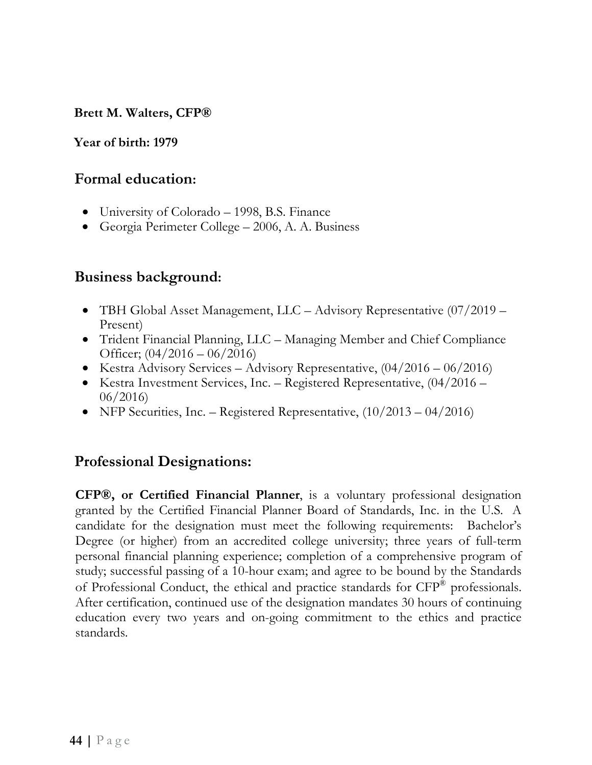**Brett M. Walters, CFP®** 

#### **Year of birth: 1979**

#### **Formal education:**

- University of Colorado 1998, B.S. Finance
- Georgia Perimeter College 2006, A. A. Business

### **Business background:**

- TBH Global Asset Management, LLC Advisory Representative (07/2019 Present)
- Trident Financial Planning, LLC Managing Member and Chief Compliance Officer;  $(04/2016 - 06/2016)$
- Kestra Advisory Services Advisory Representative,  $(04/2016 06/2016)$
- Kestra Investment Services, Inc. Registered Representative,  $(04/2016 -$ 06/2016)
- NFP Securities, Inc. Registered Representative,  $(10/2013 04/2016)$

## **Professional Designations:**

**CFP®, or Certified Financial Planner**, is a voluntary professional designation granted by the Certified Financial Planner Board of Standards, Inc. in the U.S. A candidate for the designation must meet the following requirements: Bachelor's Degree (or higher) from an accredited college university; three years of full-term personal financial planning experience; completion of a comprehensive program of study; successful passing of a 10-hour exam; and agree to be bound by the Standards of Professional Conduct, the ethical and practice standards for CFP® professionals. After certification, continued use of the designation mandates 30 hours of continuing education every two years and on-going commitment to the ethics and practice standards.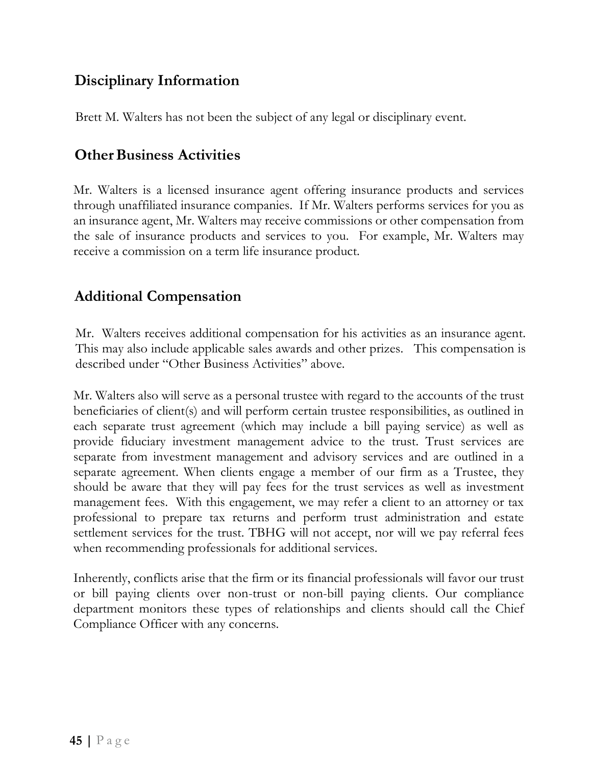## **Disciplinary Information**

Brett M. Walters has not been the subject of any legal or disciplinary event.

## **Other Business Activities**

Mr. Walters is a licensed insurance agent offering insurance products and services through unaffiliated insurance companies. If Mr. Walters performs services for you as an insurance agent, Mr. Walters may receive commissions or other compensation from the sale of insurance products and services to you. For example, Mr. Walters may receive a commission on a term life insurance product.

## **Additional Compensation**

Mr. Walters receives additional compensation for his activities as an insurance agent. This may also include applicable sales awards and other prizes. This compensation is described under "Other Business Activities" above.

Mr. Walters also will serve as a personal trustee with regard to the accounts of the trust beneficiaries of client(s) and will perform certain trustee responsibilities, as outlined in each separate trust agreement (which may include a bill paying service) as well as provide fiduciary investment management advice to the trust. Trust services are separate from investment management and advisory services and are outlined in a separate agreement. When clients engage a member of our firm as a Trustee, they should be aware that they will pay fees for the trust services as well as investment management fees. With this engagement, we may refer a client to an attorney or tax professional to prepare tax returns and perform trust administration and estate settlement services for the trust. TBHG will not accept, nor will we pay referral fees when recommending professionals for additional services.

Inherently, conflicts arise that the firm or its financial professionals will favor our trust or bill paying clients over non-trust or non-bill paying clients. Our compliance department monitors these types of relationships and clients should call the Chief Compliance Officer with any concerns.